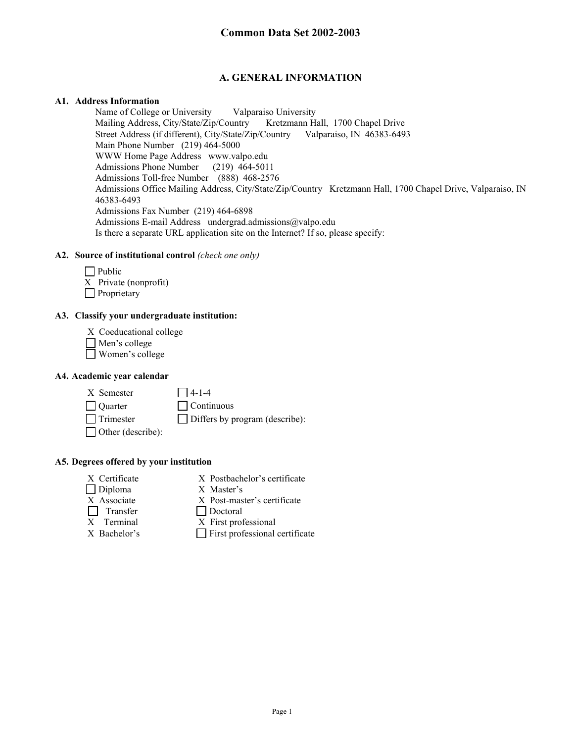## **A. GENERAL INFORMATION**

#### **A1. Address Information**

Name of College or University Valparaiso University Mailing Address, City/State/Zip/Country Kretzmann Hall, 1700 Chapel Drive Street Address (if different), City/State/Zip/Country Valparaiso, IN 46383-6493 Main Phone Number (219) 464-5000 WWW Home Page Address www.valpo.edu Admissions Phone Number (219) 464-5011 Admissions Toll-free Number (888) 468-2576 Admissions Office Mailing Address, City/State/Zip/Country Kretzmann Hall, 1700 Chapel Drive, Valparaiso, IN 46383-6493 Admissions Fax Number (219) 464-6898 Admissions E-mail Address undergrad.admissions@valpo.edu Is there a separate URL application site on the Internet? If so, please specify:

#### **A2. Source of institutional control** *(check one only)*

| $\Box$ Public         |
|-----------------------|
| X Private (nonprofit) |
| $\Box$ Proprietary    |

#### **A3. Classify your undergraduate institution:**

- X Coeducational college
- Men's college
- Women's college

#### **A4. Academic year calendar**

 $X$  Semester  $\Box$  4-1-4

Quarter Continuous  $\Box$  Trimester  $\Box$  Differs by program (describe):

□ Other (describe):

#### **A5. Degrees offered by your institution**

- 
- X Certificate X Postbachelor's certificate
- Diploma X Master's
- X Associate X Post-master's certificate
- Transfer Doctoral
- X Terminal X First professional
- 
- $X$  Bachelor's  $\Box$  First professional certificate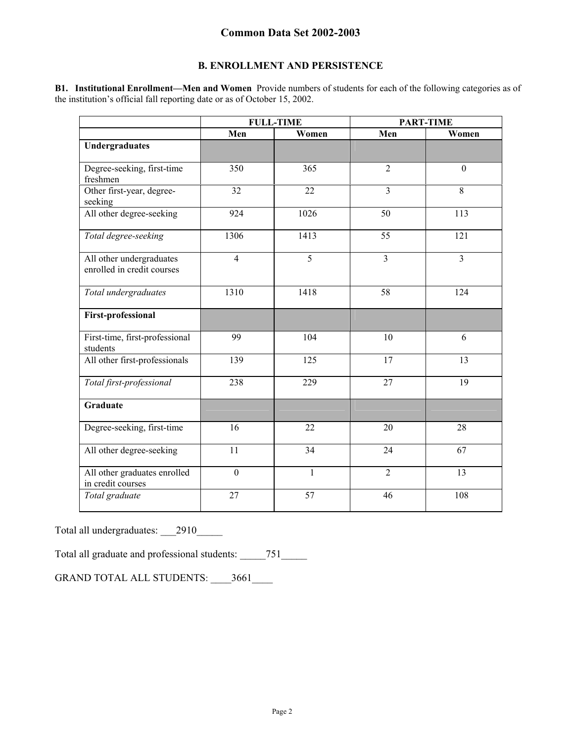### **B. ENROLLMENT AND PERSISTENCE**

**B1. Institutional Enrollment—Men and Women** Provide numbers of students for each of the following categories as of the institution's official fall reporting date or as of October 15, 2002.

|                                                        | <b>FULL-TIME</b> |              | <b>PART-TIME</b> |                  |
|--------------------------------------------------------|------------------|--------------|------------------|------------------|
|                                                        | Men              | Women        | Men              | Women            |
| <b>Undergraduates</b>                                  |                  |              |                  |                  |
| Degree-seeking, first-time<br>freshmen                 | 350              | 365          | $\overline{2}$   | $\boldsymbol{0}$ |
| Other first-year, degree-<br>seeking                   | 32               | 22           | $\overline{3}$   | 8                |
| All other degree-seeking                               | 924              | 1026         | 50               | 113              |
| Total degree-seeking                                   | 1306             | 1413         | 55               | 121              |
| All other undergraduates<br>enrolled in credit courses | $\overline{4}$   | 5            | $\overline{3}$   | $\overline{3}$   |
| Total undergraduates                                   | 1310             | 1418         | 58               | 124              |
| <b>First-professional</b>                              |                  |              |                  |                  |
| First-time, first-professional<br>students             | 99               | 104          | 10               | 6                |
| All other first-professionals                          | 139              | 125          | 17               | 13               |
| Total first-professional                               | 238              | 229          | 27               | 19               |
| Graduate                                               |                  |              |                  |                  |
| Degree-seeking, first-time                             | 16               | 22           | 20               | 28               |
| All other degree-seeking                               | 11               | 34           | 24               | 67               |
| All other graduates enrolled<br>in credit courses      | $\boldsymbol{0}$ | $\mathbf{1}$ | $\overline{2}$   | 13               |
| Total graduate                                         | 27               | 57           | 46               | 108              |

Total all undergraduates: \_\_\_2910\_\_\_\_\_

Total all graduate and professional students: \_\_\_\_\_751\_\_\_\_\_

GRAND TOTAL ALL STUDENTS: \_\_\_\_3661\_\_\_\_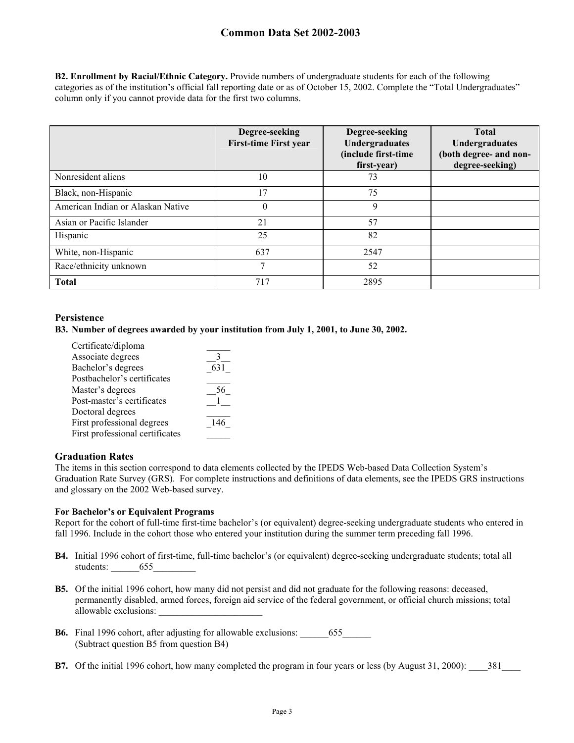**B2. Enrollment by Racial/Ethnic Category.** Provide numbers of undergraduate students for each of the following categories as of the institution's official fall reporting date or as of October 15, 2002. Complete the "Total Undergraduates" column only if you cannot provide data for the first two columns.

|                                   | Degree-seeking<br><b>First-time First year</b> | Degree-seeking<br>Undergraduates<br>(include first-time<br>first-year) | <b>Total</b><br>Undergraduates<br>(both degree- and non-<br>degree-seeking) |
|-----------------------------------|------------------------------------------------|------------------------------------------------------------------------|-----------------------------------------------------------------------------|
| Nonresident aliens                | 10                                             | 73                                                                     |                                                                             |
| Black, non-Hispanic               | 17                                             | 75                                                                     |                                                                             |
| American Indian or Alaskan Native | $\theta$                                       | 9                                                                      |                                                                             |
| Asian or Pacific Islander         | 21                                             | 57                                                                     |                                                                             |
| Hispanic                          | 25                                             | 82                                                                     |                                                                             |
| White, non-Hispanic               | 637                                            | 2547                                                                   |                                                                             |
| Race/ethnicity unknown            | 7                                              | 52                                                                     |                                                                             |
| <b>Total</b>                      | 717                                            | 2895                                                                   |                                                                             |

#### **Persistence**

#### **B3. Number of degrees awarded by your institution from July 1, 2001, to June 30, 2002.**

| Certificate/diploma             |     |
|---------------------------------|-----|
| Associate degrees               |     |
| Bachelor's degrees              | 631 |
| Postbachelor's certificates     |     |
| Master's degrees                |     |
| Post-master's certificates      |     |
| Doctoral degrees                |     |
| First professional degrees      | 146 |
| First professional certificates |     |
|                                 |     |

#### **Graduation Rates**

The items in this section correspond to data elements collected by the IPEDS Web-based Data Collection System's Graduation Rate Survey (GRS). For complete instructions and definitions of data elements, see the IPEDS GRS instructions and glossary on the 2002 Web-based survey.

#### **For Bachelor's or Equivalent Programs**

Report for the cohort of full-time first-time bachelor's (or equivalent) degree-seeking undergraduate students who entered in fall 1996. Include in the cohort those who entered your institution during the summer term preceding fall 1996.

- **B4.** Initial 1996 cohort of first-time, full-time bachelor's (or equivalent) degree-seeking undergraduate students; total all students: 655
- **B5.** Of the initial 1996 cohort, how many did not persist and did not graduate for the following reasons: deceased, permanently disabled, armed forces, foreign aid service of the federal government, or official church missions; total allowable exclusions: \_\_\_\_\_\_\_\_\_\_\_\_\_\_\_\_\_\_\_\_\_\_
- **B6.** Final 1996 cohort, after adjusting for allowable exclusions:  $655$ (Subtract question B5 from question B4)
- **B7.** Of the initial 1996 cohort, how many completed the program in four years or less (by August 31, 2000): 381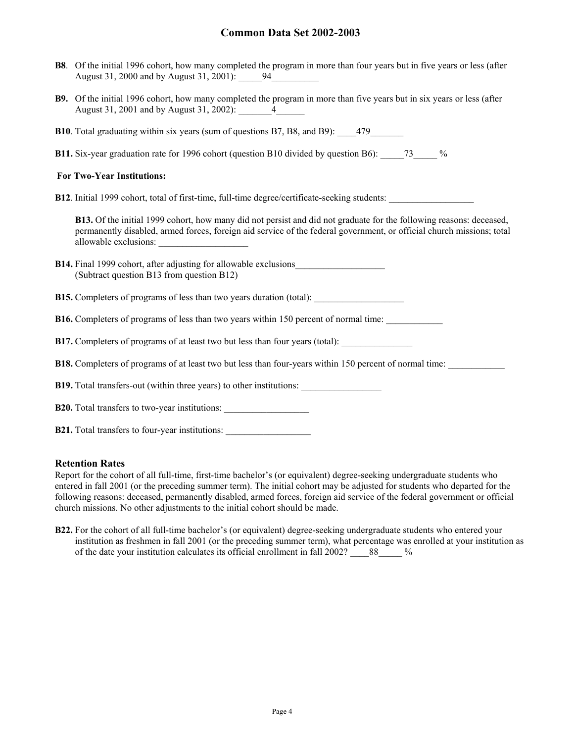- **B8**. Of the initial 1996 cohort, how many completed the program in more than four years but in five years or less (after August 31, 2000 and by August 31, 2001): 94
- **B9.** Of the initial 1996 cohort, how many completed the program in more than five years but in six years or less (after August 31, 2001 and by August 31, 2002): \_\_\_\_\_\_\_\_ 4\_\_\_\_
- **B10**. Total graduating within six years (sum of questions B7, B8, and B9):  $\qquad$  479
- **B11.** Six-year graduation rate for 1996 cohort (question B10 divided by question B6): \_\_\_\_\_73\_\_\_\_\_ %

#### **For Two-Year Institutions:**

**B12**. Initial 1999 cohort, total of first-time, full-time degree/certificate-seeking students:

**B13.** Of the initial 1999 cohort, how many did not persist and did not graduate for the following reasons: deceased, permanently disabled, armed forces, foreign aid service of the federal government, or official church missions; total allowable exclusions:

|  |                                           | <b>B14.</b> Final 1999 cohort, after adjusting for allowable exclusions |  |
|--|-------------------------------------------|-------------------------------------------------------------------------|--|
|  | (Subtract question B13 from question B12) |                                                                         |  |

- **B15.** Completers of programs of less than two years duration (total):
- **B16.** Completers of programs of less than two years within 150 percent of normal time:
- **B17.** Completers of programs of at least two but less than four years (total):
- **B18.** Completers of programs of at least two but less than four-years within 150 percent of normal time:

**B19.** Total transfers-out (within three years) to other institutions:

| <b>B20.</b> Total transfers to two-year institutions: |
|-------------------------------------------------------|
|-------------------------------------------------------|

**B21.** Total transfers to four-year institutions:

#### **Retention Rates**

Report for the cohort of all full-time, first-time bachelor's (or equivalent) degree-seeking undergraduate students who entered in fall 2001 (or the preceding summer term). The initial cohort may be adjusted for students who departed for the following reasons: deceased, permanently disabled, armed forces, foreign aid service of the federal government or official church missions. No other adjustments to the initial cohort should be made.

**B22.** For the cohort of all full-time bachelor's (or equivalent) degree-seeking undergraduate students who entered your institution as freshmen in fall 2001 (or the preceding summer term), what percentage was enrolled at your institution as of the date your institution calculates its official enrollment in fall 2002? 88 %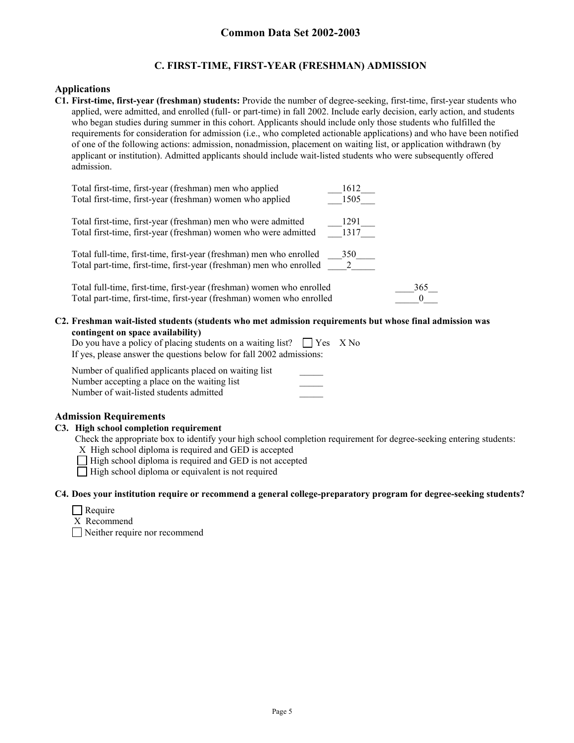### **C. FIRST-TIME, FIRST-YEAR (FRESHMAN) ADMISSION**

#### **Applications**

**C1. First-time, first-year (freshman) students:** Provide the number of degree-seeking, first-time, first-year students who applied, were admitted, and enrolled (full- or part-time) in fall 2002. Include early decision, early action, and students who began studies during summer in this cohort. Applicants should include only those students who fulfilled the requirements for consideration for admission (i.e., who completed actionable applications) and who have been notified of one of the following actions: admission, nonadmission, placement on waiting list, or application withdrawn (by applicant or institution). Admitted applicants should include wait-listed students who were subsequently offered admission.

| Total first-time, first-year (freshman) men who applied                                                                                    | 1612                  |
|--------------------------------------------------------------------------------------------------------------------------------------------|-----------------------|
| Total first-time, first-year (freshman) women who applied                                                                                  | 1505                  |
| Total first-time, first-year (freshman) men who were admitted                                                                              | 1291                  |
| Total first-time, first-year (freshman) women who were admitted                                                                            | 1317                  |
|                                                                                                                                            |                       |
| Total full-time, first-time, first-year (freshman) men who enrolled<br>Total part-time, first-time, first-year (freshman) men who enrolled | 350<br>$\overline{2}$ |
|                                                                                                                                            |                       |
| Total full-time, first-time, first-year (freshman) women who enrolled                                                                      | 365                   |
| Total part-time, first-time, first-year (freshman) women who enrolled                                                                      |                       |

**C2. Freshman wait-listed students (students who met admission requirements but whose final admission was contingent on space availability)** 

| Do you have a policy of placing students on a waiting list? $\Box$ Yes X No |  |
|-----------------------------------------------------------------------------|--|
| If yes, please answer the questions below for fall 2002 admissions:         |  |

| Number of qualified applicants placed on waiting list |  |
|-------------------------------------------------------|--|
| Number accepting a place on the waiting list          |  |
| Number of wait-listed students admitted               |  |

### **Admission Requirements**

#### **C3. High school completion requirement**

Check the appropriate box to identify your high school completion requirement for degree-seeking entering students:

X High school diploma is required and GED is accepted

 $\Box$  High school diploma is required and GED is not accepted

 $\Box$  High school diploma or equivalent is not required

#### **C4. Does your institution require or recommend a general college-preparatory program for degree-seeking students?**

| еашт |  |
|------|--|
|------|--|

X Recommend

Neither require nor recommend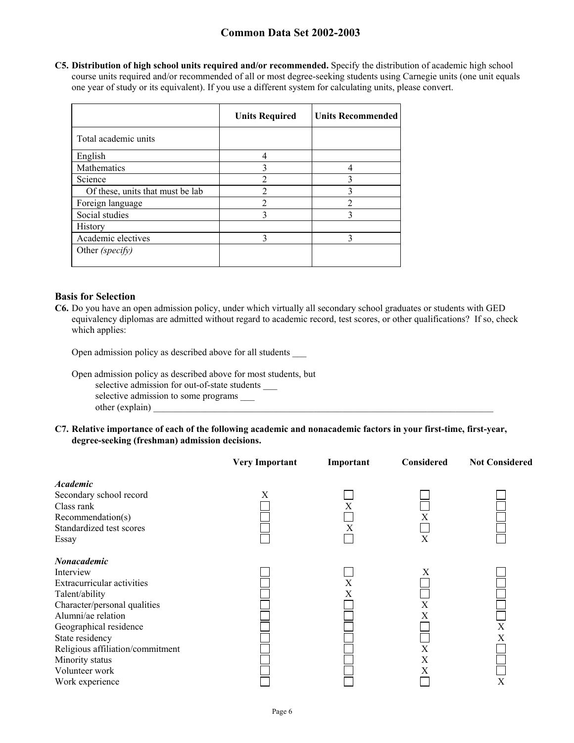**C5. Distribution of high school units required and/or recommended.** Specify the distribution of academic high school course units required and/or recommended of all or most degree-seeking students using Carnegie units (one unit equals one year of study or its equivalent). If you use a different system for calculating units, please convert.

|                                  | <b>Units Required</b> | <b>Units Recommended</b> |
|----------------------------------|-----------------------|--------------------------|
| Total academic units             |                       |                          |
| English                          |                       |                          |
| Mathematics                      |                       |                          |
| Science                          | 2                     |                          |
| Of these, units that must be lab | $\overline{2}$        |                          |
| Foreign language                 |                       |                          |
| Social studies                   | 3                     |                          |
| History                          |                       |                          |
| Academic electives               |                       |                          |
| Other (specify)                  |                       |                          |

#### **Basis for Selection**

**C6.** Do you have an open admission policy, under which virtually all secondary school graduates or students with GED equivalency diplomas are admitted without regard to academic record, test scores, or other qualifications? If so, check which applies:

Open admission policy as described above for all students \_\_\_

Open admission policy as described above for most students, but

selective admission for out-of-state students \_\_\_

selective admission to some programs \_\_\_\_\_ other (explain)

**C7. Relative importance of each of the following academic and nonacademic factors in your first-time, first-year, degree-seeking (freshman) admission decisions.** 

|                                            | <b>Very Important</b> | Important | Considered | <b>Not Considered</b> |
|--------------------------------------------|-----------------------|-----------|------------|-----------------------|
| <b>Academic</b><br>Secondary school record | X                     |           |            |                       |
| Class rank                                 |                       | Χ         |            |                       |
| Recommendation(s)                          |                       |           | Х          |                       |
| Standardized test scores                   |                       | X         |            |                       |
| Essay                                      |                       |           | X          |                       |
| <b>Nonacademic</b>                         |                       |           |            |                       |
| Interview                                  |                       |           | Χ          |                       |
| Extracurricular activities                 |                       | X         |            |                       |
| Talent/ability                             |                       | Х         |            |                       |
| Character/personal qualities               |                       |           | X          |                       |
| Alumni/ae relation                         |                       |           | Х          |                       |
| Geographical residence                     |                       |           |            | X                     |
| State residency                            |                       |           |            | Χ                     |
| Religious affiliation/commitment           |                       |           | X          |                       |
| Minority status                            |                       |           | Χ          |                       |
| Volunteer work                             |                       |           | Χ          |                       |
| Work experience                            |                       |           |            | X                     |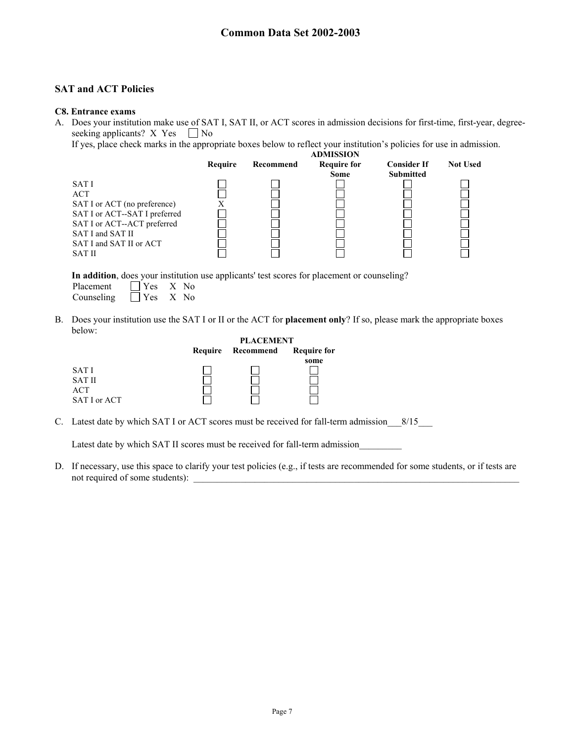### **SAT and ACT Policies**

#### **C8. Entrance exams**

A. Does your institution make use of SAT I, SAT II, or ACT scores in admission decisions for first-time, first-year, degreeseeking applicants? X Yes  $\Box$  No

If yes, place check marks in the appropriate boxes below to reflect your institution's policies for use in admission.



**In addition**, does your institution use applicants' test scores for placement or counseling? Placement  $\Box$  Yes X No

Counseling Yes X No B. Does your institution use the SAT I or II or the ACT for **placement only**? If so, please mark the appropriate boxes below:

|               |         | <b>PLACEMENT</b> |                    |  |
|---------------|---------|------------------|--------------------|--|
|               | Require | Recommend        | <b>Require for</b> |  |
|               |         |                  | some               |  |
| SAT I         |         |                  |                    |  |
| <b>SAT II</b> |         |                  |                    |  |
| ACT           |         |                  |                    |  |
| SAT I or ACT  |         |                  |                    |  |

C. Latest date by which SAT I or ACT scores must be received for fall-term admission 8/15

Latest date by which SAT II scores must be received for fall-term admission

D. If necessary, use this space to clarify your test policies (e.g., if tests are recommended for some students, or if tests are not required of some students):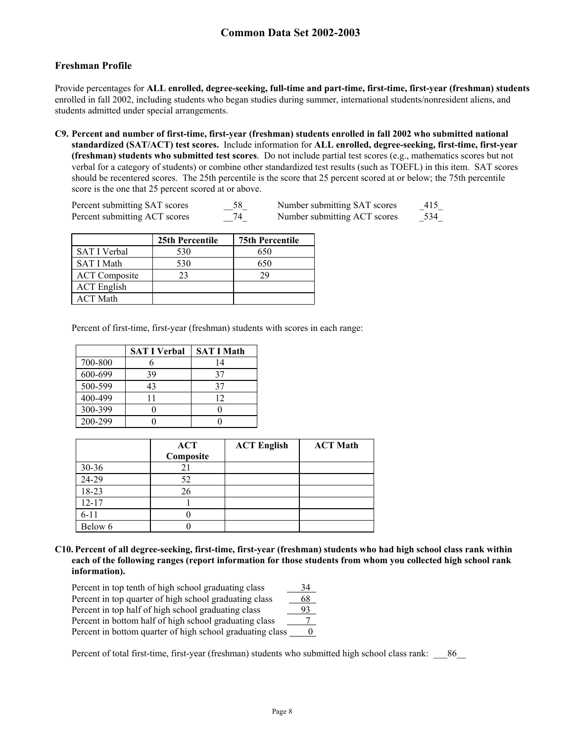### **Freshman Profile**

Provide percentages for **ALL enrolled, degree-seeking, full-time and part-time, first-time, first-year (freshman) students**  enrolled in fall 2002, including students who began studies during summer, international students/nonresident aliens, and students admitted under special arrangements.

**C9. Percent and number of first-time, first-year (freshman) students enrolled in fall 2002 who submitted national standardized (SAT/ACT) test scores.** Include information for **ALL enrolled, degree-seeking, first-time, first-year (freshman) students who submitted test scores**. Do not include partial test scores (e.g., mathematics scores but not verbal for a category of students) or combine other standardized test results (such as TOEFL) in this item. SAT scores should be recentered scores. The 25th percentile is the score that 25 percent scored at or below; the 75th percentile score is the one that 25 percent scored at or above.

| Percent submitting SAT scores | 58 | Number submitting SAT scores | 415 |
|-------------------------------|----|------------------------------|-----|
| Percent submitting ACT scores |    | Number submitting ACT scores | 534 |

|                      | 25th Percentile | <b>75th Percentile</b> |
|----------------------|-----------------|------------------------|
| <b>SAT I Verbal</b>  | 530             | 650                    |
| <b>SAT I Math</b>    | 530             | 650                    |
| <b>ACT</b> Composite | 23              | 29                     |
| <b>ACT</b> English   |                 |                        |
| <b>ACT Math</b>      |                 |                        |

Percent of first-time, first-year (freshman) students with scores in each range:

|         | <b>SAT I Verbal</b> | <b>SAT I Math</b> |
|---------|---------------------|-------------------|
| 700-800 |                     | 14                |
| 600-699 | 39                  | 37                |
| 500-599 | 43                  | 37                |
| 400-499 |                     | 12                |
| 300-399 |                     |                   |
| 200-299 |                     |                   |

|           | <b>ACT</b><br>Composite | <b>ACT English</b> | <b>ACT Math</b> |
|-----------|-------------------------|--------------------|-----------------|
| $30 - 36$ |                         |                    |                 |
| 24-29     | 52                      |                    |                 |
| 18-23     | 26                      |                    |                 |
| $12 - 17$ |                         |                    |                 |
| $6 - 11$  |                         |                    |                 |
| Below 6   |                         |                    |                 |

**C10. Percent of all degree-seeking, first-time, first-year (freshman) students who had high school class rank within each of the following ranges (report information for those students from whom you collected high school rank information).** 

| Percent in top tenth of high school graduating class      | 34 |
|-----------------------------------------------------------|----|
| Percent in top quarter of high school graduating class    | 68 |
| Percent in top half of high school graduating class       |    |
| Percent in bottom half of high school graduating class    |    |
| Percent in bottom quarter of high school graduating class |    |

Percent of total first-time, first-year (freshman) students who submitted high school class rank:  $\frac{86}{2}$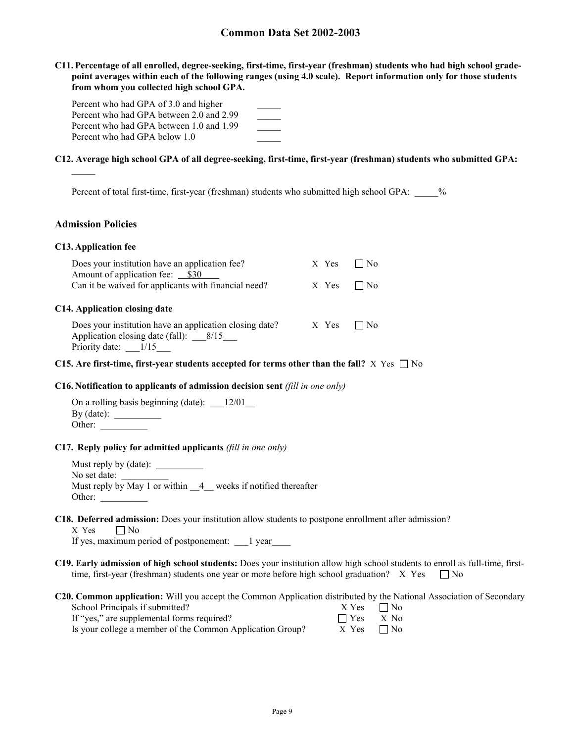**C11. Percentage of all enrolled, degree-seeking, first-time, first-year (freshman) students who had high school gradepoint averages within each of the following ranges (using 4.0 scale). Report information only for those students from whom you collected high school GPA.** 

| Percent who had GPA of 3.0 and higher    |  |
|------------------------------------------|--|
| Percent who had GPA between 2.0 and 2.99 |  |
| Percent who had GPA between 1.0 and 1.99 |  |
| Percent who had GPA below 1.0            |  |

#### **C12. Average high school GPA of all degree-seeking, first-time, first-year (freshman) students who submitted GPA:**

Percent of total first-time, first-year (freshman) students who submitted high school GPA:  $\frac{1}{2}$ 

#### **Admission Policies**

#### **C13. Application fee**

| Does your institution have an application fee?<br>Amount of application fee: __ \$30                                                                         | X Yes | Nο |  |
|--------------------------------------------------------------------------------------------------------------------------------------------------------------|-------|----|--|
| Can it be waived for applicants with financial need?                                                                                                         | x Yes | No |  |
| C14. Application closing date<br>Does your institution have an application closing date?<br>Application closing date (fall): $8/15$<br>Priority date: $1/15$ | X Yes | No |  |

#### **C15.** Are first-time, first-year students accepted for terms other than the fall?  $X$  Yes  $\Box$  No

#### **C16. Notification to applicants of admission decision sent** *(fill in one only)*

| On a rolling basis beginning (date): | 12/01 |
|--------------------------------------|-------|
| $By$ (date):                         |       |
| Other:                               |       |

#### **C17. Reply policy for admitted applicants** *(fill in one only)*

Must reply by (date): \_\_\_\_\_\_\_\_\_\_ No set date: Must reply by May 1 or within  $\frac{4}{4}$  weeks if notified thereafter Other:

#### **C18. Deferred admission:** Does your institution allow students to postpone enrollment after admission?  $X$  Yes  $\Box$  No

If yes, maximum period of postponement: \_\_\_1 year\_\_\_\_

- **C19. Early admission of high school students:** Does your institution allow high school students to enroll as full-time, firsttime, first-year (freshman) students one year or more before high school graduation? X Yes  $\Box$  No
- **C20. Common application:** Will you accept the Common Application distributed by the National Association of Secondary

| School Principals if submitted?                           | $X Yes \square No$ |  |
|-----------------------------------------------------------|--------------------|--|
| If "yes," are supplemental forms required?                | $\Box$ Yes $X$ No  |  |
| Is your college a member of the Common Application Group? | $X$ Yes $\Box$ No  |  |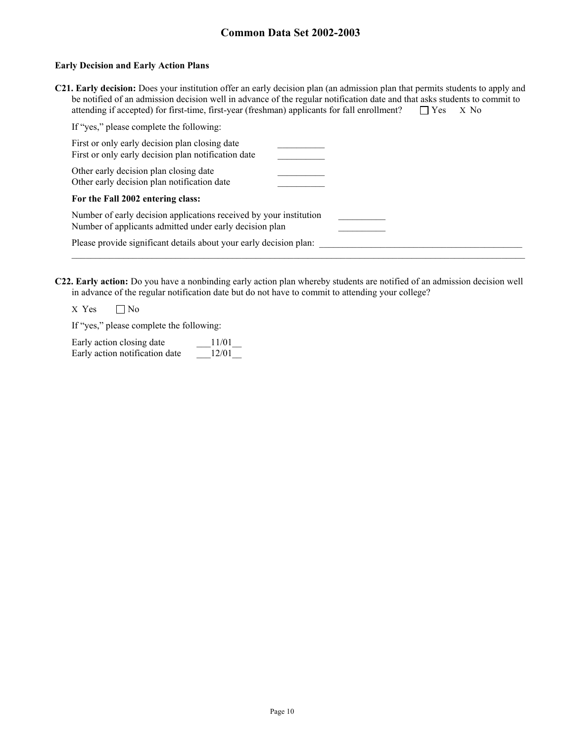#### **Early Decision and Early Action Plans**

| C21. Early decision: Does your institution offer an early decision plan (an admission plan that permits students to apply and |                   |  |
|-------------------------------------------------------------------------------------------------------------------------------|-------------------|--|
| be notified of an admission decision well in advance of the regular notification date and that asks students to commit to     |                   |  |
| attending if accepted) for first-time, first-year (freshman) applicants for fall enrollment?                                  | $\Box$ Yes $X$ No |  |

| If "yes," please complete the following:                                                                                      |  |
|-------------------------------------------------------------------------------------------------------------------------------|--|
| First or only early decision plan closing date<br>First or only early decision plan notification date                         |  |
| Other early decision plan closing date<br>Other early decision plan notification date                                         |  |
| For the Fall 2002 entering class:                                                                                             |  |
| Number of early decision applications received by your institution<br>Number of applicants admitted under early decision plan |  |
| Please provide significant details about your early decision plan:                                                            |  |
|                                                                                                                               |  |

**C22. Early action:** Do you have a nonbinding early action plan whereby students are notified of an admission decision well in advance of the regular notification date but do not have to commit to attending your college?

 $X$  Yes  $\Box$  No

If "yes," please complete the following:

| Early action closing date      | 11/01 |
|--------------------------------|-------|
| Early action notification date | 12/01 |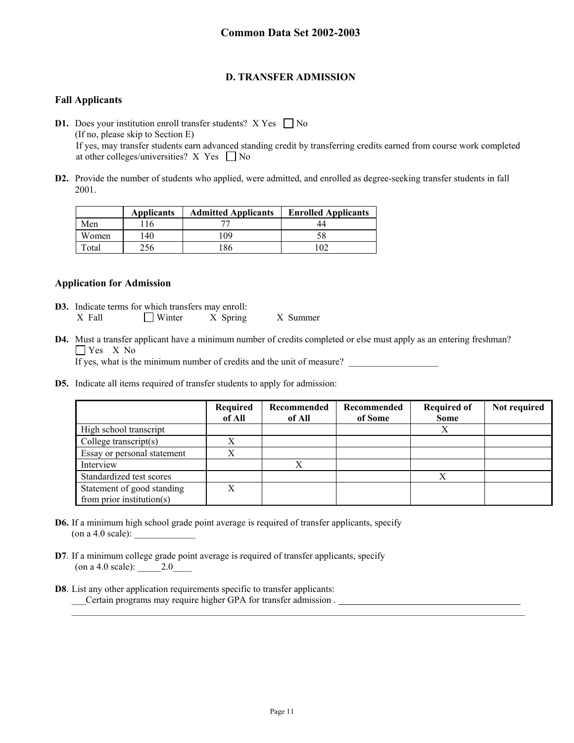### **D. TRANSFER ADMISSION**

### **Fall Applicants**

**D1.** Does your institution enroll transfer students?  $X$  Yes  $\Box$  No (If no, please skip to Section E) If yes, may transfer students earn advanced standing credit by transferring credits earned from course work completed at other colleges/universities? X Yes  $\Box$  No

**D2.** Provide the number of students who applied, were admitted, and enrolled as degree-seeking transfer students in fall 2001.

|       | <b>Applicants</b> | <b>Admitted Applicants</b> | <b>Enrolled Applicants</b> |
|-------|-------------------|----------------------------|----------------------------|
| Men   |                   |                            |                            |
| Women | .40               | 109                        |                            |
| Total |                   | '86                        | 102                        |

#### **Application for Admission**

- **D3.** Indicate terms for which transfers may enroll: X Fall Minter X Spring X Summer
- **D4.** Must a transfer applicant have a minimum number of credits completed or else must apply as an entering freshman? Yes X No

If yes, what is the minimum number of credits and the unit of measure?

**D5.** Indicate all items required of transfer students to apply for admission:

|                                                             | Required<br>of All | Recommended<br>of All | Recommended<br>of Some | <b>Required of</b><br><b>Some</b> | Not required |
|-------------------------------------------------------------|--------------------|-----------------------|------------------------|-----------------------------------|--------------|
| High school transcript                                      |                    |                       |                        |                                   |              |
| College transcript $(s)$                                    | X                  |                       |                        |                                   |              |
| Essay or personal statement                                 | Х                  |                       |                        |                                   |              |
| Interview                                                   |                    |                       |                        |                                   |              |
| Standardized test scores                                    |                    |                       |                        | Χ                                 |              |
| Statement of good standing<br>from prior institution( $s$ ) | X                  |                       |                        |                                   |              |

- **D6.** If a minimum high school grade point average is required of transfer applicants, specify (on a 4.0 scale):
- **D7**. If a minimum college grade point average is required of transfer applicants, specify (on a 4.0 scale): \_\_\_\_\_2.0\_\_\_\_
- **D8**. List any other application requirements specific to transfer applicants: \_\_\_Certain programs may require higher GPA for transfer admission .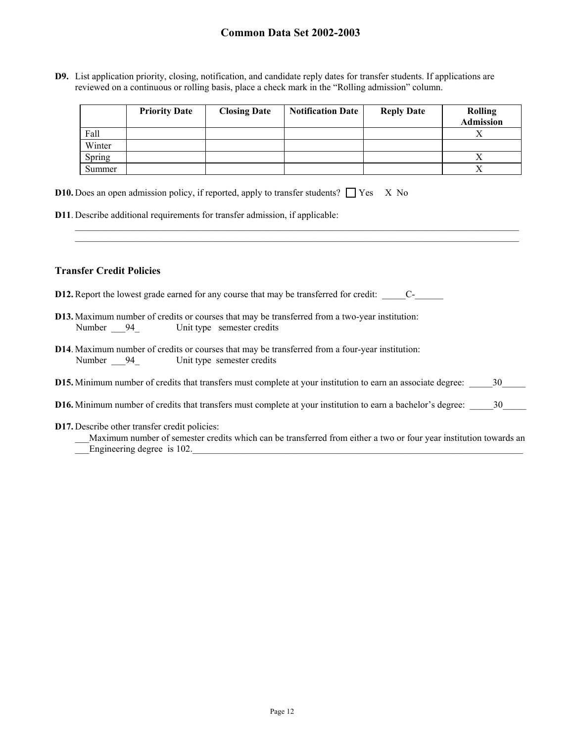**D9.** List application priority, closing, notification, and candidate reply dates for transfer students. If applications are reviewed on a continuous or rolling basis, place a check mark in the "Rolling admission" column.

|        | <b>Priority Date</b> | <b>Closing Date</b> | <b>Notification Date</b> | <b>Reply Date</b> | <b>Rolling</b><br><b>Admission</b> |
|--------|----------------------|---------------------|--------------------------|-------------------|------------------------------------|
| Fall   |                      |                     |                          |                   |                                    |
| Winter |                      |                     |                          |                   |                                    |
| Spring |                      |                     |                          |                   |                                    |
| Summer |                      |                     |                          |                   |                                    |

 $\_$  ,  $\_$  ,  $\_$  ,  $\_$  ,  $\_$  ,  $\_$  ,  $\_$  ,  $\_$  ,  $\_$  ,  $\_$  ,  $\_$  ,  $\_$  ,  $\_$  ,  $\_$  ,  $\_$  ,  $\_$  ,  $\_$  ,  $\_$  ,  $\_$  ,  $\_$  ,  $\_$  ,  $\_$  ,  $\_$  ,  $\_$  ,  $\_$  ,  $\_$  ,  $\_$  ,  $\_$  ,  $\_$  ,  $\_$  ,  $\_$  ,  $\_$  ,  $\_$  ,  $\_$  ,  $\_$  ,  $\_$  ,  $\_$  ,

| <b>D10.</b> Does an open admission policy, if reported, apply to transfer students? $\Box$ Yes X No |  |  |  |  |
|-----------------------------------------------------------------------------------------------------|--|--|--|--|
|-----------------------------------------------------------------------------------------------------|--|--|--|--|

**D11**. Describe additional requirements for transfer admission, if applicable:

#### **Transfer Credit Policies**

- **D12.** Report the lowest grade earned for any course that may be transferred for credit: \_\_\_\_\_\_\_\_\_\_C-\_\_\_\_\_\_\_\_\_\_
- **D13.** Maximum number of credits or courses that may be transferred from a two-year institution: Number 94\_ Unit type semester credits
- **D14**. Maximum number of credits or courses that may be transferred from a four-year institution: Number 94\_ Unit type semester credits
- **D15.** Minimum number of credits that transfers must complete at your institution to earn an associate degree:  $\frac{30}{20}$
- **D16.** Minimum number of credits that transfers must complete at your institution to earn a bachelor's degree: \_\_\_\_\_30\_\_\_\_\_
- **D17.** Describe other transfer credit policies:

| Maximum number of semester credits which can be transferred from either a two or four year institution towards an |  |  |  |  |
|-------------------------------------------------------------------------------------------------------------------|--|--|--|--|
| Engineering degree is 102.                                                                                        |  |  |  |  |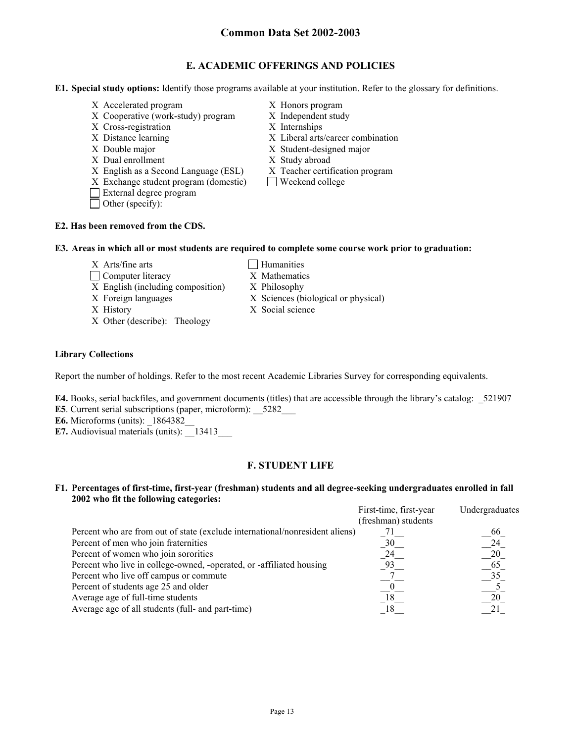### **E. ACADEMIC OFFERINGS AND POLICIES**

**E1. Special study options:** Identify those programs available at your institution. Refer to the glossary for definitions.

- X Accelerated program X Honors program
- X Cooperative (work-study) program X Independent study
- X Cross-registration X Internships
- 
- 
- X Dual enrollment X Study abroad
- X English as a Second Language (ESL) X Teacher certification program
- $X$  Exchange student program (domestic)  $\Box$  Weekend college
- External degree program
- Other (specify):
- 
- 
- 
- X Distance learning X Liberal arts/career combination
- X Double major X Student-designed major

 $X$  Sciences (biological or physical)

- 
- 
- 

#### **E2. Has been removed from the CDS.**

#### **E3. Areas in which all or most students are required to complete some course work prior to graduation:**

- $X$  Arts/fine arts  $\Box$  Humanities
- □ Computer literacy X Mathematics
- X English (including composition) X Philosophy<br>X Foreign languages X Sciences (b
- 
- X History X Social science
- X Other (describe): Theology

#### **Library Collections**

Report the number of holdings. Refer to the most recent Academic Libraries Survey for corresponding equivalents.

- **E4.** Books, serial backfiles, and government documents (titles) that are accessible through the library's catalog: 521907
- **E5**. Current serial subscriptions (paper, microform):  $\frac{5282}{\ }$
- **E6.** Microforms (units):  $1864382$
- **E7.** Audiovisual materials (units): 13413

### **F. STUDENT LIFE**

#### **F1. Percentages of first-time, first-year (freshman) students and all degree-seeking undergraduates enrolled in fall 2002 who fit the following categories:**

|                                                                              | First-time, first-year | Undergraduates |
|------------------------------------------------------------------------------|------------------------|----------------|
|                                                                              | (freshman) students    |                |
| Percent who are from out of state (exclude international/nonresident aliens) |                        | 66             |
| Percent of men who join fraternities                                         | 30                     | 24             |
| Percent of women who join sororities                                         | 24                     | 20             |
| Percent who live in college-owned, -operated, or -affiliated housing         |                        | -65            |
| Percent who live off campus or commute                                       |                        | 35             |
| Percent of students age 25 and older                                         |                        |                |
| Average age of full-time students                                            | 18                     | 20             |
| Average age of all students (full- and part-time)                            |                        |                |
|                                                                              |                        |                |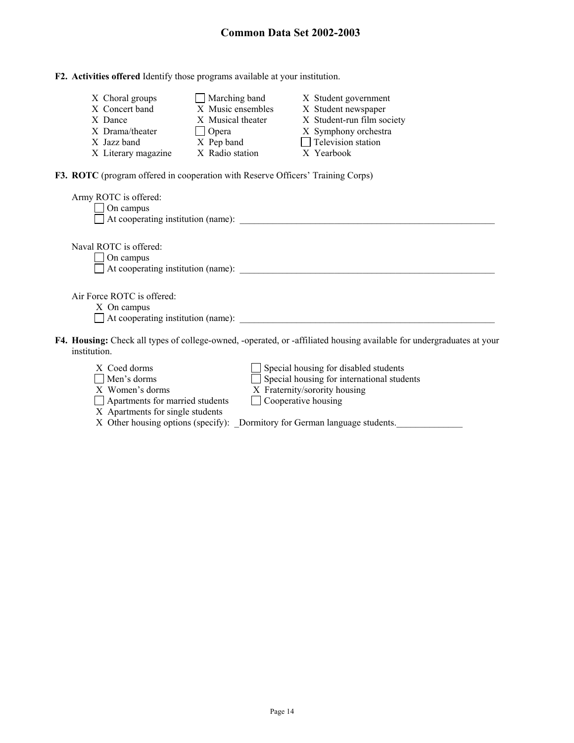|  |  |  | F2. Activities offered Identify those programs available at your institution. |
|--|--|--|-------------------------------------------------------------------------------|
|  |  |  |                                                                               |

| X Choral groups     | $\Box$ Marching band | X Student government       |
|---------------------|----------------------|----------------------------|
| X Concert band      | X Music ensembles    | X Student newspaper        |
| X Dance             | X Musical theater    | X Student-run film society |
| X Drama/theater     | $\Box$ Opera         | X Symphony orchestra       |
| X Jazz band         | X Pep band           | $\Box$ Television station  |
| X Literary magazine | X Radio station      | X Yearbook                 |

**F3. ROTC** (program offered in cooperation with Reserve Officers' Training Corps)

| Army ROTC is offered:<br>On campus<br>$\Box$ At cooperating institution (name):                                                       |
|---------------------------------------------------------------------------------------------------------------------------------------|
| Naval ROTC is offered:<br>On campus<br>$\Box$ At cooperating institution (name):                                                      |
| Air Force ROTC is offered:<br>X On campus<br>$\Box$ At cooperating institution (name):                                                |
| F4. Housing: Check all types of college-owned, -operated, or -affiliated housing available for undergraduates at your<br>institution. |
| Special housing for disabled students<br>X Coed dorms<br>Special housing for international students<br>Men's dorms                    |

| $\lambda$ $\lambda$                    | $\Box$ operal housing for disabled statemes                                 |
|----------------------------------------|-----------------------------------------------------------------------------|
| $\Box$ Men's dorms                     | $\Box$ Special housing for international students                           |
| X Women's dorms                        | X Fraternity/sorority housing                                               |
| $\Box$ Apartments for married students | $\Box$ Cooperative housing                                                  |
| X Apartments for single students       |                                                                             |
|                                        | X Other housing options (specify): _Dormitory for German language students. |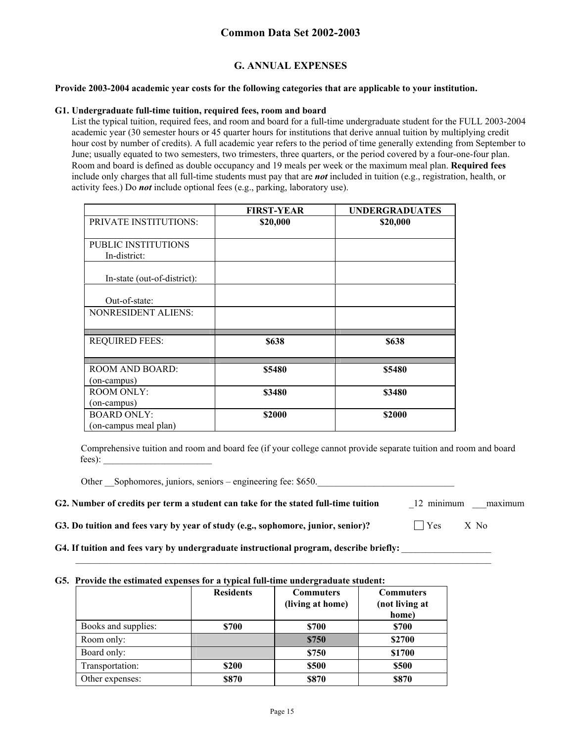### **G. ANNUAL EXPENSES**

#### **Provide 2003-2004 academic year costs for the following categories that are applicable to your institution.**

#### **G1. Undergraduate full-time tuition, required fees, room and board**

List the typical tuition, required fees, and room and board for a full-time undergraduate student for the FULL 2003-2004 academic year (30 semester hours or 45 quarter hours for institutions that derive annual tuition by multiplying credit hour cost by number of credits). A full academic year refers to the period of time generally extending from September to June; usually equated to two semesters, two trimesters, three quarters, or the period covered by a four-one-four plan. Room and board is defined as double occupancy and 19 meals per week or the maximum meal plan. **Required fees** include only charges that all full-time students must pay that are *not* included in tuition (e.g., registration, health, or activity fees.) Do *not* include optional fees (e.g., parking, laboratory use).

|                              | <b>FIRST-YEAR</b> | <b>UNDERGRADUATES</b> |
|------------------------------|-------------------|-----------------------|
| <b>PRIVATE INSTITUTIONS:</b> | \$20,000          | \$20,000              |
| <b>PUBLIC INSTITUTIONS</b>   |                   |                       |
| In-district:                 |                   |                       |
|                              |                   |                       |
| In-state (out-of-district):  |                   |                       |
|                              |                   |                       |
| Out-of-state:                |                   |                       |
| <b>NONRESIDENT ALIENS:</b>   |                   |                       |
|                              |                   |                       |
|                              |                   |                       |
| <b>REQUIRED FEES:</b>        | \$638             | \$638                 |
|                              |                   |                       |
| ROOM AND BOARD:              | \$5480            | \$5480                |
| (on-campus)                  |                   |                       |
| <b>ROOM ONLY:</b>            | \$3480            | \$3480                |
| (on-campus)                  |                   |                       |
| <b>BOARD ONLY:</b>           | \$2000            | \$2000                |
| (on-campus meal plan)        |                   |                       |

Comprehensive tuition and room and board fee (if your college cannot provide separate tuition and room and board fees):

Other Sophomores, juniors, seniors – engineering fee: \$650.

| G2. Number of credits per term a student can take for the stated full-time tuition | 12 minimum | maximum |
|------------------------------------------------------------------------------------|------------|---------|
|------------------------------------------------------------------------------------|------------|---------|

**G3. Do tuition and fees vary by year of study (e.g., sophomore, junior, senior)?**  $\Box$  Yes X No

**G4. If tuition and fees vary by undergraduate instructional program, describe briefly:** \_\_\_\_\_\_\_\_\_\_\_\_\_\_\_\_\_\_\_

#### **G5. Provide the estimated expenses for a typical full-time undergraduate student:**

|                     | <b>Residents</b> | <b>Commuters</b> | <b>Commuters</b> |
|---------------------|------------------|------------------|------------------|
|                     |                  | (living at home) | (not living at   |
|                     |                  |                  | home)            |
| Books and supplies: | \$700            | \$700            | \$700            |
| Room only:          |                  | \$750            | \$2700           |
| Board only:         |                  | \$750            | \$1700           |
| Transportation:     | \$200            | \$500            | \$500            |
| Other expenses:     | \$870            | \$870            | \$870            |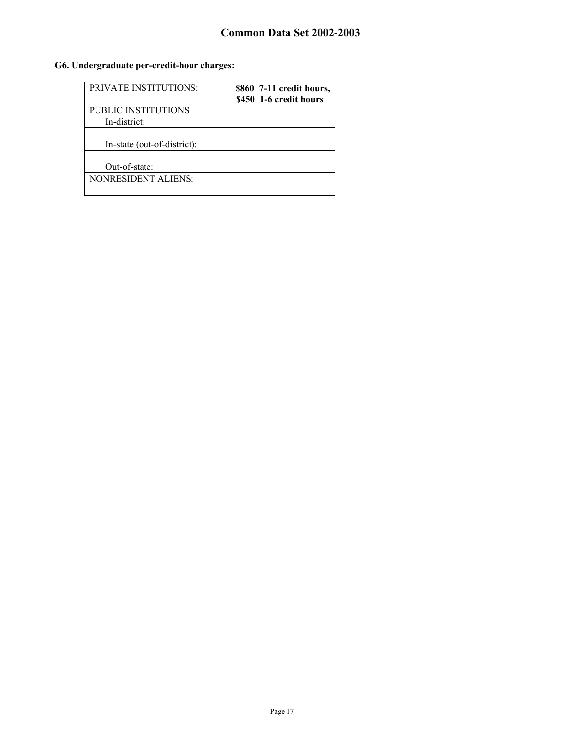## **G6. Undergraduate per-credit-hour charges:**

| <b>PRIVATE INSTITUTIONS:</b>         | \$860 7-11 credit hours,<br>\$450 1-6 credit hours |
|--------------------------------------|----------------------------------------------------|
| PUBLIC INSTITUTIONS<br>In-district:  |                                                    |
| In-state (out-of-district):          |                                                    |
| Out-of-state:<br>NONRESIDENT ALIENS: |                                                    |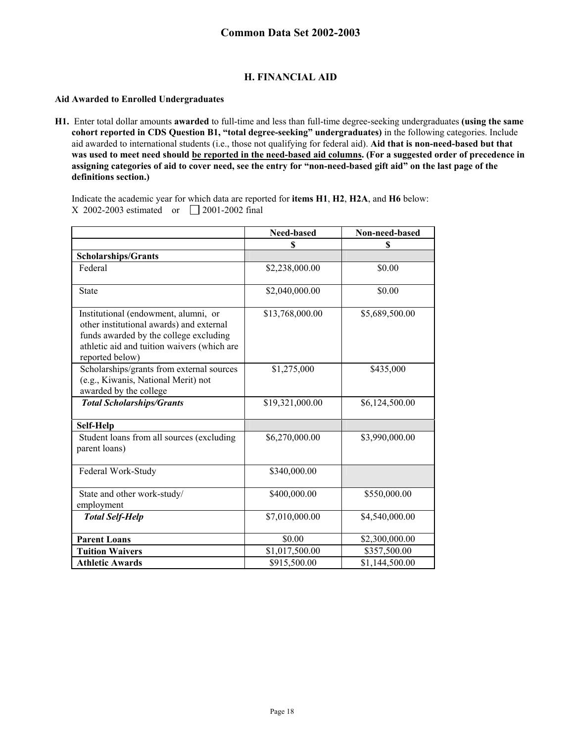### **H. FINANCIAL AID**

#### **Aid Awarded to Enrolled Undergraduates**

**H1.** Enter total dollar amounts **awarded** to full-time and less than full-time degree-seeking undergraduates **(using the same cohort reported in CDS Question B1, "total degree-seeking" undergraduates)** in the following categories. Include aid awarded to international students (i.e., those not qualifying for federal aid). **Aid that is non-need-based but that was used to meet need should be reported in the need-based aid columns. (For a suggested order of precedence in assigning categories of aid to cover need, see the entry for "non-need-based gift aid" on the last page of the definitions section.)** 

Indicate the academic year for which data are reported for **items H1**, **H2**, **H2A**, and **H6** below: X 2002-2003 estimated or  $\Box$  2001-2002 final

|                                                                                                                                                                                              | Need-based      | Non-need-based |
|----------------------------------------------------------------------------------------------------------------------------------------------------------------------------------------------|-----------------|----------------|
|                                                                                                                                                                                              | \$              | \$             |
| <b>Scholarships/Grants</b>                                                                                                                                                                   |                 |                |
| Federal                                                                                                                                                                                      | \$2,238,000.00  | \$0.00         |
| <b>State</b>                                                                                                                                                                                 | \$2,040,000.00  | \$0.00         |
| Institutional (endowment, alumni, or<br>other institutional awards) and external<br>funds awarded by the college excluding<br>athletic aid and tuition waivers (which are<br>reported below) | \$13,768,000.00 | \$5,689,500.00 |
| Scholarships/grants from external sources<br>(e.g., Kiwanis, National Merit) not<br>awarded by the college                                                                                   | \$1,275,000     | \$435,000      |
| <b>Total Scholarships/Grants</b>                                                                                                                                                             | \$19,321,000.00 | \$6,124,500.00 |
| Self-Help                                                                                                                                                                                    |                 |                |
| Student loans from all sources (excluding<br>parent loans)                                                                                                                                   | \$6,270,000.00  | \$3,990,000.00 |
| Federal Work-Study                                                                                                                                                                           | \$340,000.00    |                |
| State and other work-study/<br>employment                                                                                                                                                    | \$400,000.00    | \$550,000.00   |
| <b>Total Self-Help</b>                                                                                                                                                                       | \$7,010,000.00  | \$4,540,000.00 |
| <b>Parent Loans</b>                                                                                                                                                                          | \$0.00          | \$2,300,000.00 |
| <b>Tuition Waivers</b>                                                                                                                                                                       | \$1,017,500.00  | \$357,500.00   |
| <b>Athletic Awards</b>                                                                                                                                                                       | \$915,500.00    | \$1,144,500.00 |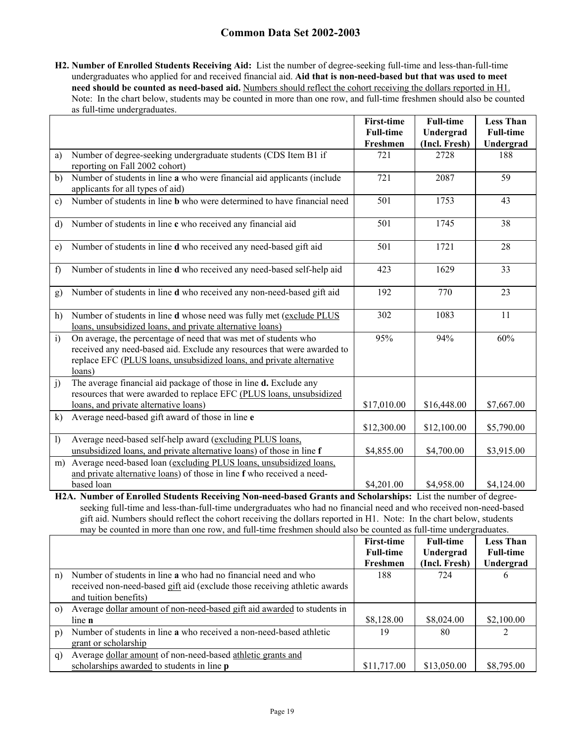**H2. Number of Enrolled Students Receiving Aid:** List the number of degree-seeking full-time and less-than-full-time undergraduates who applied for and received financial aid. **Aid that is non-need-based but that was used to meet need should be counted as need-based aid.** Numbers should reflect the cohort receiving the dollars reported in H1. Note: In the chart below, students may be counted in more than one row, and full-time freshmen should also be counted as full-time undergraduates.

|                |                                                                                                                                                                                                                              | <b>First-time</b><br><b>Full-time</b><br>Freshmen | <b>Full-time</b><br>Undergrad<br>(Incl. Fresh) | <b>Less Than</b><br><b>Full-time</b><br>Undergrad |
|----------------|------------------------------------------------------------------------------------------------------------------------------------------------------------------------------------------------------------------------------|---------------------------------------------------|------------------------------------------------|---------------------------------------------------|
| a)             | Number of degree-seeking undergraduate students (CDS Item B1 if<br>reporting on Fall 2002 cohort)                                                                                                                            | 721                                               | 2728                                           | 188                                               |
| b)             | Number of students in line a who were financial aid applicants (include<br>applicants for all types of aid)                                                                                                                  | 721                                               | 2087                                           | 59                                                |
| $\mathbf{c}$   | Number of students in line <b>b</b> who were determined to have financial need                                                                                                                                               | 501                                               | 1753                                           | 43                                                |
| d)             | Number of students in line c who received any financial aid                                                                                                                                                                  | 501                                               | 1745                                           | 38                                                |
| $\epsilon$     | Number of students in line d who received any need-based gift aid                                                                                                                                                            | 501                                               | 1721                                           | 28                                                |
| f              | Number of students in line d who received any need-based self-help aid                                                                                                                                                       | 423                                               | 1629                                           | 33                                                |
| g)             | Number of students in line d who received any non-need-based gift aid                                                                                                                                                        | 192                                               | 770                                            | 23                                                |
| h)             | Number of students in line d whose need was fully met (exclude PLUS<br>loans, unsubsidized loans, and private alternative loans)                                                                                             | 302                                               | 1083                                           | 11                                                |
| i)             | On average, the percentage of need that was met of students who<br>received any need-based aid. Exclude any resources that were awarded to<br>replace EFC (PLUS loans, unsubsidized loans, and private alternative<br>loans) | 95%                                               | 94%                                            | 60%                                               |
| j)             | The average financial aid package of those in line <b>d.</b> Exclude any<br>resources that were awarded to replace EFC (PLUS loans, unsubsidized<br>loans, and private alternative loans)                                    | \$17,010.00                                       | \$16,448.00                                    | \$7,667.00                                        |
| $\bf k)$       | Average need-based gift award of those in line e                                                                                                                                                                             | \$12,300.00                                       | \$12,100.00                                    | \$5,790.00                                        |
| $\overline{1}$ | Average need-based self-help award (excluding PLUS loans,<br>unsubsidized loans, and private alternative loans) of those in line f                                                                                           | \$4,855.00                                        | \$4,700.00                                     | \$3,915.00                                        |
| m)             | Average need-based loan (excluding PLUS loans, unsubsidized loans,<br>and private alternative loans) of those in line f who received a need-<br>based loan                                                                   | \$4,201.00                                        | \$4,958.00                                     | \$4,124.00                                        |
|                | H2A. Number of Enrolled Students Receiving Non-need-based Grants and Scholarships: List the number of degree-                                                                                                                |                                                   |                                                |                                                   |

seeking full-time and less-than-full-time undergraduates who had no financial need and who received non-need-based gift aid. Numbers should reflect the cohort receiving the dollars reported in H1. Note: In the chart below, students may be counted in more than one row, and full-time freshmen should also be counted as full-time undergraduates.

|          |                                                                           | <b>First-time</b> | <b>Full-time</b> | <b>Less Than</b> |
|----------|---------------------------------------------------------------------------|-------------------|------------------|------------------|
|          |                                                                           | <b>Full-time</b>  | Undergrad        | <b>Full-time</b> |
|          |                                                                           | Freshmen          | (Incl. Fresh)    | Undergrad        |
| n)       | Number of students in line a who had no financial need and who            | 188               | 724              | 6                |
|          | received non-need-based gift aid (exclude those receiving athletic awards |                   |                  |                  |
|          | and tuition benefits)                                                     |                   |                  |                  |
| $\Omega$ | Average dollar amount of non-need-based gift aid awarded to students in   |                   |                  |                  |
|          | line n                                                                    | \$8,128.00        | \$8,024.00       | \$2,100.00       |
| p)       | Number of students in line a who received a non-need-based athletic       | 19                | 80               |                  |
|          | grant or scholarship                                                      |                   |                  |                  |
| q)       | Average dollar amount of non-need-based athletic grants and               |                   |                  |                  |
|          | scholarships awarded to students in line <b>p</b>                         | \$11,717.00       | \$13,050.00      | \$8,795.00       |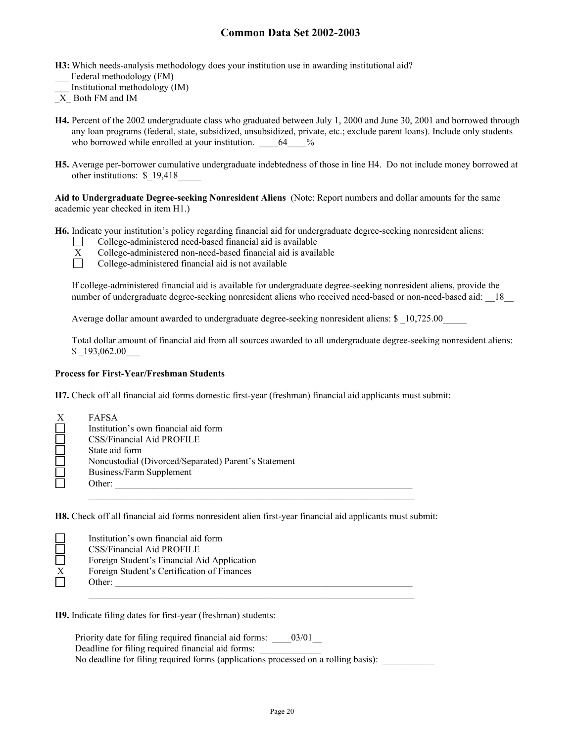- **H3:** Which needs-analysis methodology does your institution use in awarding institutional aid? Federal methodology (FM)
- \_\_\_ Institutional methodology (IM)
- $\overline{X}$  Both FM and IM
- **H4.** Percent of the 2002 undergraduate class who graduated between July 1, 2000 and June 30, 2001 and borrowed through any loan programs (federal, state, subsidized, unsubsidized, private, etc.; exclude parent loans). Include only students who borrowed while enrolled at your institution.  $64\frac{\%}{\%}$
- **H5.** Average per-borrower cumulative undergraduate indebtedness of those in line H4. Do not include money borrowed at other institutions: \$\_19,418\_\_\_\_\_

**Aid to Undergraduate Degree-seeking Nonresident Aliens** (Note: Report numbers and dollar amounts for the same academic year checked in item H1.)

**H6.** Indicate your institution's policy regarding financial aid for undergraduate degree-seeking nonresident aliens:



□ College-administered need-based financial aid is available<br>
X College-administered non-need-based financial aid is avail<br>
College-administered financial aid is not available College-administered non-need-based financial aid is available College-administered financial aid is not available

If college-administered financial aid is available for undergraduate degree-seeking nonresident aliens, provide the

number of undergraduate degree-seeking nonresident aliens who received need-based or non-need-based aid: 18

Average dollar amount awarded to undergraduate degree-seeking nonresident aliens: \$ 10,725.00

Total dollar amount of financial aid from all sources awarded to all undergraduate degree-seeking nonresident aliens: \$193,062.00

#### **Process for First-Year/Freshman Students**

**H7.** Check off all financial aid forms domestic first-year (freshman) financial aid applicants must submit:

| X | FAFSA                                                |
|---|------------------------------------------------------|
|   | Institution's own financial aid form                 |
|   | CSS/Financial Aid PROFILE                            |
|   | State aid form                                       |
|   | Noncustodial (Divorced/Separated) Parent's Statement |
|   | Business/Farm Supplement                             |
|   | Other:                                               |
|   |                                                      |

**H8.** Check off all financial aid forms nonresident alien first-year financial aid applicants must submit:

|              | Institution's own financial aid form        |
|--------------|---------------------------------------------|
|              | CSS/Financial Aid PROFILE                   |
|              | Foreign Student's Financial Aid Application |
| $\mathbf{X}$ | Foreign Student's Certification of Finances |
|              | Other:                                      |
|              |                                             |

**H9.** Indicate filing dates for first-year (freshman) students:

Priority date for filing required financial aid forms:  $03/01$ Deadline for filing required financial aid forms: No deadline for filing required forms (applications processed on a rolling basis):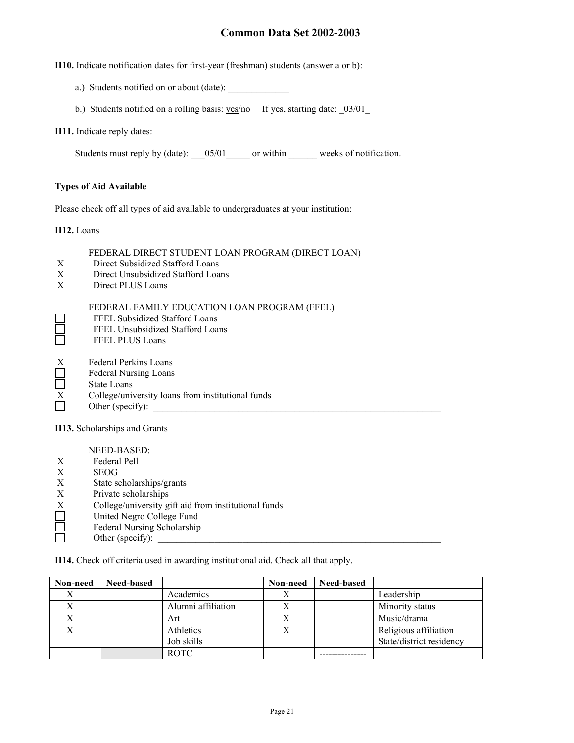**H10.** Indicate notification dates for first-year (freshman) students (answer a or b):

- a.) Students notified on or about (date):
- b.) Students notified on a rolling basis: yes/no If yes, starting date: \_03/01\_

#### **H11.** Indicate reply dates:

Students must reply by (date): \_\_\_05/01\_\_\_\_\_ or within \_\_\_\_\_\_ weeks of notification.

#### **Types of Aid Available**

Please check off all types of aid available to undergraduates at your institution:

**H12.** Loans

 $\Box$ 

#### FEDERAL DIRECT STUDENT LOAN PROGRAM (DIRECT LOAN)

- X Direct Subsidized Stafford Loans
- X Direct Unsubsidized Stafford Loans
- X Direct PLUS Loans

#### FEDERAL FAMILY EDUCATION LOAN PROGRAM (FFEL)

- FFEL Subsidized Stafford Loans
- FFEL Unsubsidized Stafford Loans
- Ħ FFEL PLUS Loans
- $\sum_{i=1}^{N}$ Federal Perkins Loans
- Federal Nursing Loans
- Ē State Loans
- $\overline{X}$  College/university loans from institutional funds<br>Other (specify):
- Other (specify):

**H13.** Scholarships and Grants

NEED-BASED:

- X Federal Pell
- X SEOG
- X State scholarships/grants
- X Private scholarships<br>X College/university g<br>United Negro Colleg
- College/university gift aid from institutional funds
- United Negro College Fund
- $\Box$ Federal Nursing Scholarship
- Other (specify):

**H14.** Check off criteria used in awarding institutional aid. Check all that apply.

| Non-need | <b>Need-based</b> |                    | Non-need  | Need-based |                          |
|----------|-------------------|--------------------|-----------|------------|--------------------------|
|          |                   | Academics          | Λ         |            | Leadership               |
|          |                   | Alumni affiliation |           |            | Minority status          |
|          |                   | Art                | $\Lambda$ |            | Music/drama              |
|          |                   | Athletics          | $\lambda$ |            | Religious affiliation    |
|          |                   | Job skills         |           |            | State/district residency |
|          |                   | <b>ROTC</b>        |           |            |                          |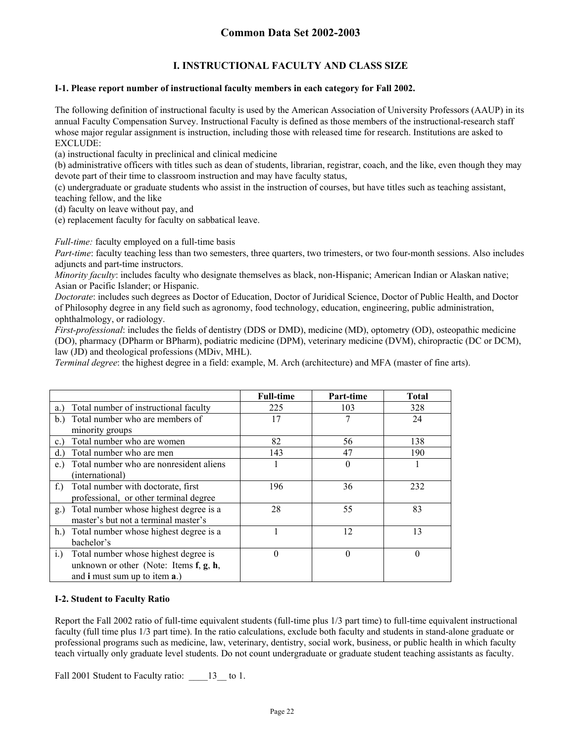## **I. INSTRUCTIONAL FACULTY AND CLASS SIZE**

#### **I-1. Please report number of instructional faculty members in each category for Fall 2002.**

The following definition of instructional faculty is used by the American Association of University Professors (AAUP) in its annual Faculty Compensation Survey. Instructional Faculty is defined as those members of the instructional-research staff whose major regular assignment is instruction, including those with released time for research. Institutions are asked to EXCLUDE:

(a) instructional faculty in preclinical and clinical medicine

(b) administrative officers with titles such as dean of students, librarian, registrar, coach, and the like, even though they may devote part of their time to classroom instruction and may have faculty status,

(c) undergraduate or graduate students who assist in the instruction of courses, but have titles such as teaching assistant, teaching fellow, and the like

(d) faculty on leave without pay, and

(e) replacement faculty for faculty on sabbatical leave.

*Full-time:* faculty employed on a full-time basis

*Part-time*: faculty teaching less than two semesters, three quarters, two trimesters, or two four-month sessions. Also includes adjuncts and part-time instructors.

*Minority faculty*: includes faculty who designate themselves as black, non-Hispanic; American Indian or Alaskan native; Asian or Pacific Islander; or Hispanic.

*Doctorate*: includes such degrees as Doctor of Education, Doctor of Juridical Science, Doctor of Public Health, and Doctor of Philosophy degree in any field such as agronomy, food technology, education, engineering, public administration, ophthalmology, or radiology.

*First-professional*: includes the fields of dentistry (DDS or DMD), medicine (MD), optometry (OD), osteopathic medicine (DO), pharmacy (DPharm or BPharm), podiatric medicine (DPM), veterinary medicine (DVM), chiropractic (DC or DCM), law (JD) and theological professions (MDiv, MHL).

*Terminal degree*: the highest degree in a field: example, M. Arch (architecture) and MFA (master of fine arts).

|                                                     | <b>Full-time</b> | Part-time | <b>Total</b> |
|-----------------------------------------------------|------------------|-----------|--------------|
| Total number of instructional faculty<br>a.)        | 225              | 103       | 328          |
| Total number who are members of<br>b.               | 17               |           | 24           |
| minority groups                                     |                  |           |              |
| Total number who are women<br>$c_{\cdot}$           | 82               | 56        | 138          |
| Total number who are men<br>d.                      | 143              | 47        | 190          |
| Total number who are nonresident aliens<br>e.       |                  | $\Omega$  |              |
| (international)                                     |                  |           |              |
| Total number with doctorate, first<br>$f_{\cdot}$ ) | 196              | 36        | 232          |
| professional, or other terminal degree              |                  |           |              |
| Total number whose highest degree is a<br>g.)       | 28               | 55        | 83           |
| master's but not a terminal master's                |                  |           |              |
| h.) Total number whose highest degree is a          |                  | 12        | 13           |
| bachelor's                                          |                  |           |              |
| Total number whose highest degree is<br>i.          | $\theta$         | $\theta$  | $\theta$     |
| unknown or other (Note: Items $f, g, h$ ,           |                  |           |              |
| and <b>i</b> must sum up to item <b>a</b> .)        |                  |           |              |

#### **I-2. Student to Faculty Ratio**

Report the Fall 2002 ratio of full-time equivalent students (full-time plus 1/3 part time) to full-time equivalent instructional faculty (full time plus 1/3 part time). In the ratio calculations, exclude both faculty and students in stand-alone graduate or professional programs such as medicine, law, veterinary, dentistry, social work, business, or public health in which faculty teach virtually only graduate level students. Do not count undergraduate or graduate student teaching assistants as faculty.

Fall 2001 Student to Faculty ratio:  $13$  to 1.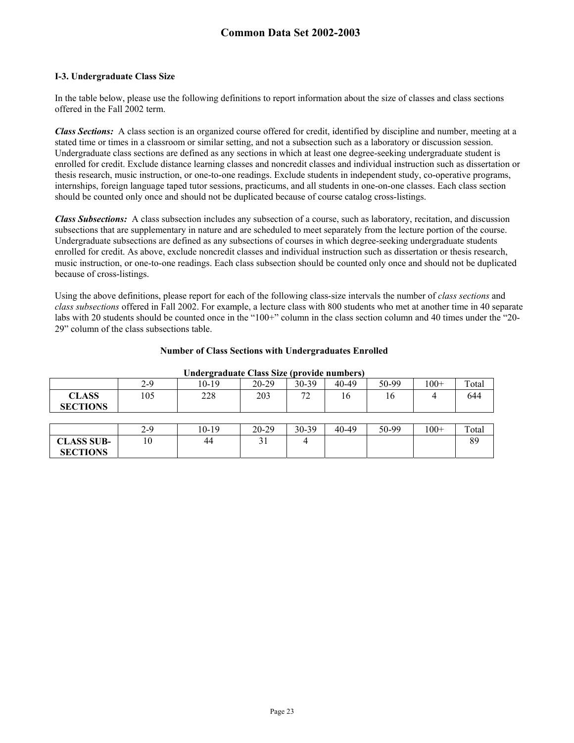#### **I-3. Undergraduate Class Size**

**SECTIONS** 

In the table below, please use the following definitions to report information about the size of classes and class sections offered in the Fall 2002 term.

*Class Sections:* A class section is an organized course offered for credit, identified by discipline and number, meeting at a stated time or times in a classroom or similar setting, and not a subsection such as a laboratory or discussion session. Undergraduate class sections are defined as any sections in which at least one degree-seeking undergraduate student is enrolled for credit. Exclude distance learning classes and noncredit classes and individual instruction such as dissertation or thesis research, music instruction, or one-to-one readings. Exclude students in independent study, co-operative programs, internships, foreign language taped tutor sessions, practicums, and all students in one-on-one classes. Each class section should be counted only once and should not be duplicated because of course catalog cross-listings.

*Class Subsections:* A class subsection includes any subsection of a course, such as laboratory, recitation, and discussion subsections that are supplementary in nature and are scheduled to meet separately from the lecture portion of the course. Undergraduate subsections are defined as any subsections of courses in which degree-seeking undergraduate students enrolled for credit. As above, exclude noncredit classes and individual instruction such as dissertation or thesis research, music instruction, or one-to-one readings. Each class subsection should be counted only once and should not be duplicated because of cross-listings.

Using the above definitions, please report for each of the following class-size intervals the number of *class sections* and *class subsections* offered in Fall 2002. For example, a lecture class with 800 students who met at another time in 40 separate labs with 20 students should be counted once in the "100+" column in the class section column and 40 times under the "20-29" column of the class subsections table.

| Undergraduate Class Size (provide numbers) |     |       |           |           |       |       |        |       |
|--------------------------------------------|-----|-------|-----------|-----------|-------|-------|--------|-------|
|                                            | 2-9 | 10-19 | $20 - 29$ | $30 - 39$ | 40-49 | 50-99 | $100+$ | Total |
| <b>CLASS</b><br><b>SECTIONS</b>            | 105 | 228   | 203       | 72        | 16    | 16    | 4      | 644   |
|                                            |     |       |           |           |       |       |        |       |
|                                            | 2-9 | 10-19 | $20 - 29$ | 30-39     | 40-49 | 50-99 | $100+$ | Total |
| <b>CLASS SUB-</b>                          | 10  | 44    |           |           |       |       |        | 89    |

#### **Number of Class Sections with Undergraduates Enrolled**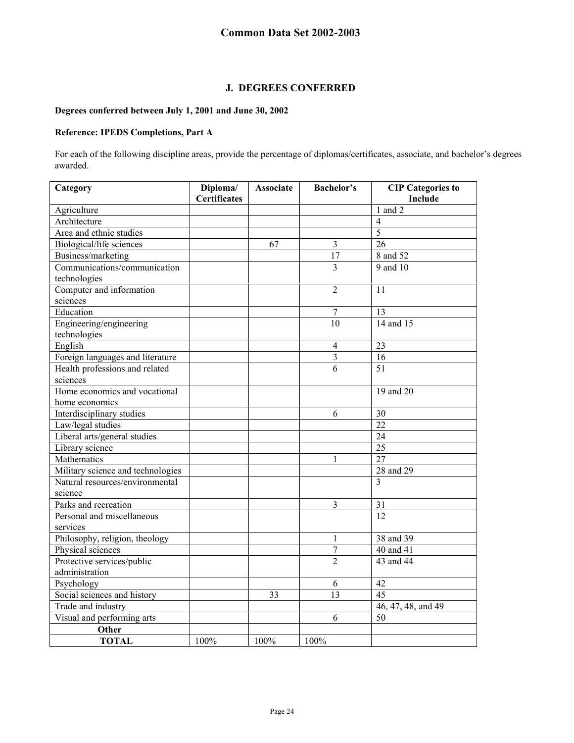### **J. DEGREES CONFERRED**

#### **Degrees conferred between July 1, 2001 and June 30, 2002**

#### **Reference: IPEDS Completions, Part A**

For each of the following discipline areas, provide the percentage of diplomas/certificates, associate, and bachelor's degrees awarded.

| Category                          | Diploma/<br><b>Certificates</b> | <b>Associate</b> | <b>Bachelor's</b> | <b>CIP</b> Categories to<br>Include |
|-----------------------------------|---------------------------------|------------------|-------------------|-------------------------------------|
| Agriculture                       |                                 |                  |                   | $1$ and $2$                         |
| Architecture                      |                                 |                  |                   | $\overline{4}$                      |
| Area and ethnic studies           |                                 |                  |                   | 5                                   |
| Biological/life sciences          |                                 | 67               | $\overline{3}$    | 26                                  |
| Business/marketing                |                                 |                  | 17                | 8 and 52                            |
| Communications/communication      |                                 |                  | 3                 | 9 and 10                            |
| technologies                      |                                 |                  |                   |                                     |
| Computer and information          |                                 |                  | $\overline{2}$    | 11                                  |
| sciences                          |                                 |                  |                   |                                     |
| Education                         |                                 |                  | $\overline{7}$    | 13                                  |
| Engineering/engineering           |                                 |                  | 10                | 14 and 15                           |
| technologies                      |                                 |                  |                   |                                     |
| English                           |                                 |                  | $\overline{4}$    | 23                                  |
| Foreign languages and literature  |                                 |                  | $\mathfrak{Z}$    | 16                                  |
| Health professions and related    |                                 |                  | $\overline{6}$    | $\overline{51}$                     |
| sciences                          |                                 |                  |                   |                                     |
| Home economics and vocational     |                                 |                  |                   | 19 and 20                           |
| home economics                    |                                 |                  |                   |                                     |
| Interdisciplinary studies         |                                 |                  | $\sqrt{6}$        | 30                                  |
| Law/legal studies                 |                                 |                  |                   | 22                                  |
| Liberal arts/general studies      |                                 |                  |                   | 24                                  |
| Library science                   |                                 |                  |                   | 25                                  |
| Mathematics                       |                                 |                  | 1                 | $\overline{27}$                     |
| Military science and technologies |                                 |                  |                   | 28 and 29                           |
| Natural resources/environmental   |                                 |                  |                   | 3                                   |
| science                           |                                 |                  |                   |                                     |
| Parks and recreation              |                                 |                  | $\mathfrak{Z}$    | 31                                  |
| Personal and miscellaneous        |                                 |                  |                   | 12                                  |
| services                          |                                 |                  |                   |                                     |
| Philosophy, religion, theology    |                                 |                  | 1                 | 38 and 39                           |
| Physical sciences                 |                                 |                  | $\boldsymbol{7}$  | 40 and 41                           |
| Protective services/public        |                                 |                  | $\overline{2}$    | 43 and 44                           |
| administration                    |                                 |                  |                   |                                     |
| Psychology                        |                                 |                  | 6                 | 42                                  |
| Social sciences and history       |                                 | 33               | 13                | 45                                  |
| Trade and industry                |                                 |                  |                   | 46, 47, 48, and 49                  |
| Visual and performing arts        |                                 |                  | 6                 | 50                                  |
| Other                             |                                 |                  |                   |                                     |
| <b>TOTAL</b>                      | 100%                            | 100%             | 100%              |                                     |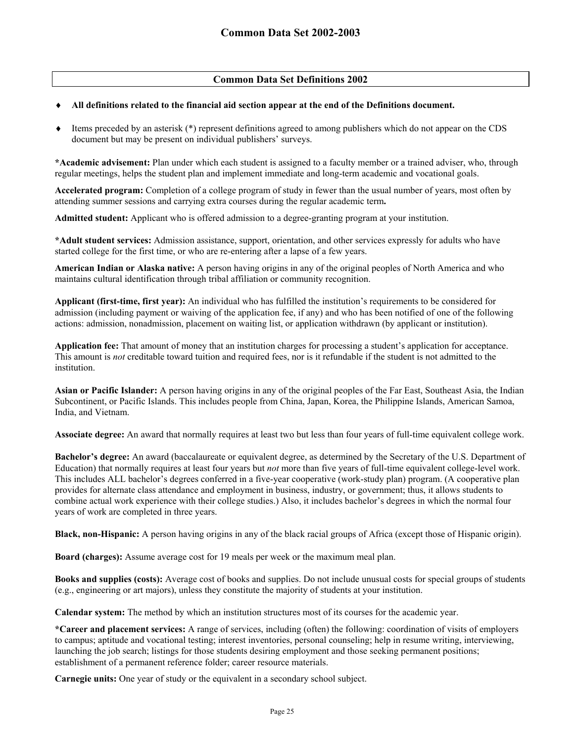### **Common Data Set Definitions 2002**

#### ♦ **All definitions related to the financial aid section appear at the end of the Definitions document.**

Items preceded by an asterisk (\*) represent definitions agreed to among publishers which do not appear on the CDS document but may be present on individual publishers' surveys.

**\*Academic advisement:** Plan under which each student is assigned to a faculty member or a trained adviser, who, through regular meetings, helps the student plan and implement immediate and long-term academic and vocational goals.

**Accelerated program:** Completion of a college program of study in fewer than the usual number of years, most often by attending summer sessions and carrying extra courses during the regular academic term**.** 

**Admitted student:** Applicant who is offered admission to a degree-granting program at your institution.

**\*Adult student services:** Admission assistance, support, orientation, and other services expressly for adults who have started college for the first time, or who are re-entering after a lapse of a few years.

**American Indian or Alaska native:** A person having origins in any of the original peoples of North America and who maintains cultural identification through tribal affiliation or community recognition.

**Applicant (first-time, first year):** An individual who has fulfilled the institution's requirements to be considered for admission (including payment or waiving of the application fee, if any) and who has been notified of one of the following actions: admission, nonadmission, placement on waiting list, or application withdrawn (by applicant or institution).

**Application fee:** That amount of money that an institution charges for processing a student's application for acceptance. This amount is *not* creditable toward tuition and required fees, nor is it refundable if the student is not admitted to the institution.

**Asian or Pacific Islander:** A person having origins in any of the original peoples of the Far East, Southeast Asia, the Indian Subcontinent, or Pacific Islands. This includes people from China, Japan, Korea, the Philippine Islands, American Samoa, India, and Vietnam.

**Associate degree:** An award that normally requires at least two but less than four years of full-time equivalent college work.

**Bachelor's degree:** An award (baccalaureate or equivalent degree, as determined by the Secretary of the U.S. Department of Education) that normally requires at least four years but *not* more than five years of full-time equivalent college-level work. This includes ALL bachelor's degrees conferred in a five-year cooperative (work-study plan) program. (A cooperative plan provides for alternate class attendance and employment in business, industry, or government; thus, it allows students to combine actual work experience with their college studies.) Also, it includes bachelor's degrees in which the normal four years of work are completed in three years.

**Black, non-Hispanic:** A person having origins in any of the black racial groups of Africa (except those of Hispanic origin).

**Board (charges):** Assume average cost for 19 meals per week or the maximum meal plan.

**Books and supplies (costs):** Average cost of books and supplies. Do not include unusual costs for special groups of students (e.g., engineering or art majors), unless they constitute the majority of students at your institution.

**Calendar system:** The method by which an institution structures most of its courses for the academic year.

**\*Career and placement services:** A range of services, including (often) the following: coordination of visits of employers to campus; aptitude and vocational testing; interest inventories, personal counseling; help in resume writing, interviewing, launching the job search; listings for those students desiring employment and those seeking permanent positions; establishment of a permanent reference folder; career resource materials.

**Carnegie units:** One year of study or the equivalent in a secondary school subject.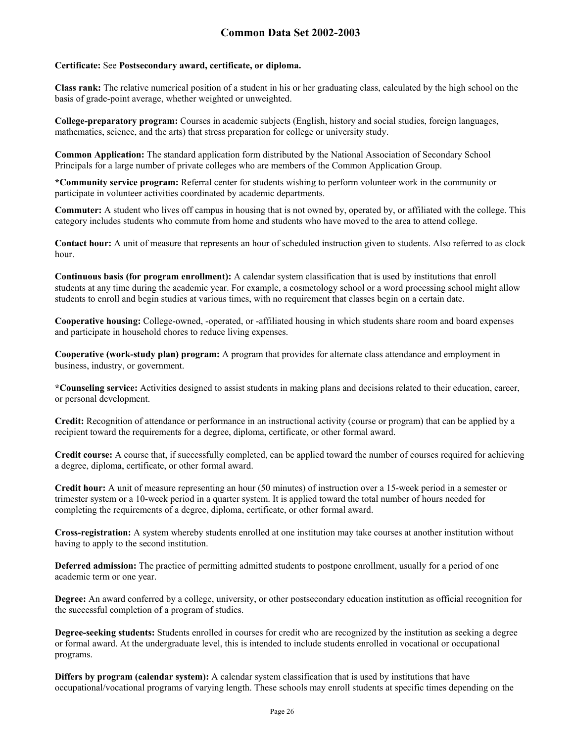#### **Certificate:** See **Postsecondary award, certificate, or diploma.**

**Class rank:** The relative numerical position of a student in his or her graduating class, calculated by the high school on the basis of grade-point average, whether weighted or unweighted.

**College-preparatory program:** Courses in academic subjects (English, history and social studies, foreign languages, mathematics, science, and the arts) that stress preparation for college or university study.

**Common Application:** The standard application form distributed by the National Association of Secondary School Principals for a large number of private colleges who are members of the Common Application Group.

**\*Community service program:** Referral center for students wishing to perform volunteer work in the community or participate in volunteer activities coordinated by academic departments.

**Commuter:** A student who lives off campus in housing that is not owned by, operated by, or affiliated with the college. This category includes students who commute from home and students who have moved to the area to attend college.

Contact hour: A unit of measure that represents an hour of scheduled instruction given to students. Also referred to as clock hour.

**Continuous basis (for program enrollment):** A calendar system classification that is used by institutions that enroll students at any time during the academic year. For example, a cosmetology school or a word processing school might allow students to enroll and begin studies at various times, with no requirement that classes begin on a certain date.

**Cooperative housing:** College-owned, -operated, or -affiliated housing in which students share room and board expenses and participate in household chores to reduce living expenses.

**Cooperative (work-study plan) program:** A program that provides for alternate class attendance and employment in business, industry, or government.

**\*Counseling service:** Activities designed to assist students in making plans and decisions related to their education, career, or personal development.

**Credit:** Recognition of attendance or performance in an instructional activity (course or program) that can be applied by a recipient toward the requirements for a degree, diploma, certificate, or other formal award.

**Credit course:** A course that, if successfully completed, can be applied toward the number of courses required for achieving a degree, diploma, certificate, or other formal award.

**Credit hour:** A unit of measure representing an hour (50 minutes) of instruction over a 15-week period in a semester or trimester system or a 10-week period in a quarter system. It is applied toward the total number of hours needed for completing the requirements of a degree, diploma, certificate, or other formal award.

**Cross-registration:** A system whereby students enrolled at one institution may take courses at another institution without having to apply to the second institution.

**Deferred admission:** The practice of permitting admitted students to postpone enrollment, usually for a period of one academic term or one year.

**Degree:** An award conferred by a college, university, or other postsecondary education institution as official recognition for the successful completion of a program of studies.

**Degree-seeking students:** Students enrolled in courses for credit who are recognized by the institution as seeking a degree or formal award. At the undergraduate level, this is intended to include students enrolled in vocational or occupational programs.

**Differs by program (calendar system):** A calendar system classification that is used by institutions that have occupational/vocational programs of varying length. These schools may enroll students at specific times depending on the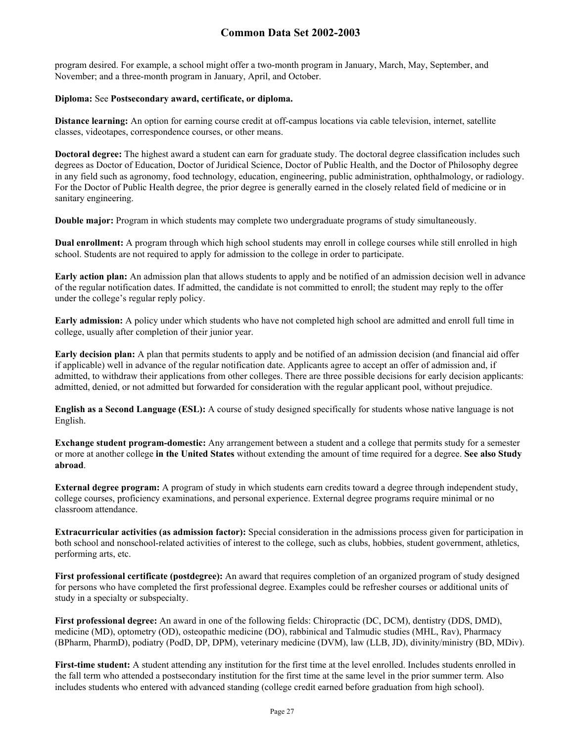program desired. For example, a school might offer a two-month program in January, March, May, September, and November; and a three-month program in January, April, and October.

#### **Diploma:** See **Postsecondary award, certificate, or diploma.**

**Distance learning:** An option for earning course credit at off-campus locations via cable television, internet, satellite classes, videotapes, correspondence courses, or other means.

**Doctoral degree:** The highest award a student can earn for graduate study. The doctoral degree classification includes such degrees as Doctor of Education, Doctor of Juridical Science, Doctor of Public Health, and the Doctor of Philosophy degree in any field such as agronomy, food technology, education, engineering, public administration, ophthalmology, or radiology. For the Doctor of Public Health degree, the prior degree is generally earned in the closely related field of medicine or in sanitary engineering.

**Double major:** Program in which students may complete two undergraduate programs of study simultaneously.

**Dual enrollment:** A program through which high school students may enroll in college courses while still enrolled in high school. Students are not required to apply for admission to the college in order to participate.

**Early action plan:** An admission plan that allows students to apply and be notified of an admission decision well in advance of the regular notification dates. If admitted, the candidate is not committed to enroll; the student may reply to the offer under the college's regular reply policy.

**Early admission:** A policy under which students who have not completed high school are admitted and enroll full time in college, usually after completion of their junior year.

**Early decision plan:** A plan that permits students to apply and be notified of an admission decision (and financial aid offer if applicable) well in advance of the regular notification date. Applicants agree to accept an offer of admission and, if admitted, to withdraw their applications from other colleges. There are three possible decisions for early decision applicants: admitted, denied, or not admitted but forwarded for consideration with the regular applicant pool, without prejudice.

**English as a Second Language (ESL):** A course of study designed specifically for students whose native language is not English.

**Exchange student program-domestic:** Any arrangement between a student and a college that permits study for a semester or more at another college **in the United States** without extending the amount of time required for a degree. **See also Study abroad**.

**External degree program:** A program of study in which students earn credits toward a degree through independent study, college courses, proficiency examinations, and personal experience. External degree programs require minimal or no classroom attendance.

**Extracurricular activities (as admission factor):** Special consideration in the admissions process given for participation in both school and nonschool-related activities of interest to the college, such as clubs, hobbies, student government, athletics, performing arts, etc.

**First professional certificate (postdegree):** An award that requires completion of an organized program of study designed for persons who have completed the first professional degree. Examples could be refresher courses or additional units of study in a specialty or subspecialty.

**First professional degree:** An award in one of the following fields: Chiropractic (DC, DCM), dentistry (DDS, DMD), medicine (MD), optometry (OD), osteopathic medicine (DO), rabbinical and Talmudic studies (MHL, Rav), Pharmacy (BPharm, PharmD), podiatry (PodD, DP, DPM), veterinary medicine (DVM), law (LLB, JD), divinity/ministry (BD, MDiv).

First-time student: A student attending any institution for the first time at the level enrolled. Includes students enrolled in the fall term who attended a postsecondary institution for the first time at the same level in the prior summer term. Also includes students who entered with advanced standing (college credit earned before graduation from high school).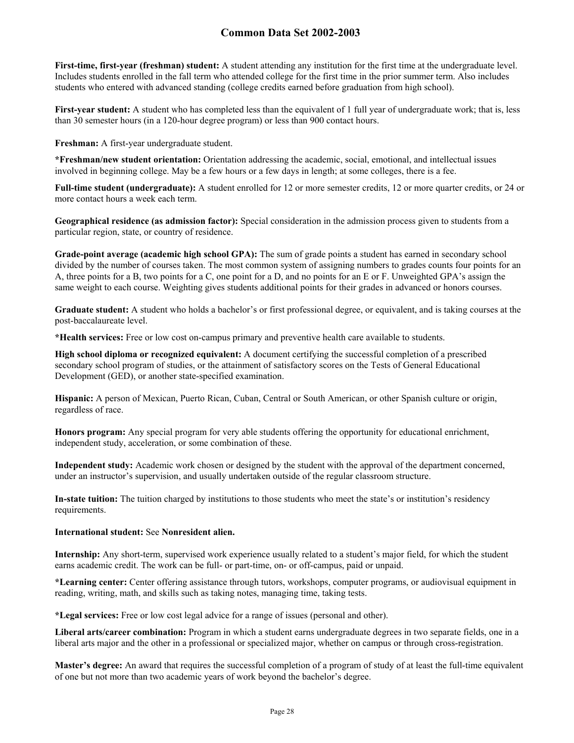**First-time, first-year (freshman) student:** A student attending any institution for the first time at the undergraduate level. Includes students enrolled in the fall term who attended college for the first time in the prior summer term. Also includes students who entered with advanced standing (college credits earned before graduation from high school).

**First-year student:** A student who has completed less than the equivalent of 1 full year of undergraduate work; that is, less than 30 semester hours (in a 120-hour degree program) or less than 900 contact hours.

**Freshman:** A first-year undergraduate student.

**\*Freshman/new student orientation:** Orientation addressing the academic, social, emotional, and intellectual issues involved in beginning college. May be a few hours or a few days in length; at some colleges, there is a fee.

**Full-time student (undergraduate):** A student enrolled for 12 or more semester credits, 12 or more quarter credits, or 24 or more contact hours a week each term.

**Geographical residence (as admission factor):** Special consideration in the admission process given to students from a particular region, state, or country of residence.

**Grade-point average (academic high school GPA):** The sum of grade points a student has earned in secondary school divided by the number of courses taken. The most common system of assigning numbers to grades counts four points for an A, three points for a B, two points for a C, one point for a D, and no points for an E or F. Unweighted GPA's assign the same weight to each course. Weighting gives students additional points for their grades in advanced or honors courses.

**Graduate student:** A student who holds a bachelor's or first professional degree, or equivalent, and is taking courses at the post-baccalaureate level.

**\*Health services:** Free or low cost on-campus primary and preventive health care available to students.

**High school diploma or recognized equivalent:** A document certifying the successful completion of a prescribed secondary school program of studies, or the attainment of satisfactory scores on the Tests of General Educational Development (GED), or another state-specified examination.

**Hispanic:** A person of Mexican, Puerto Rican, Cuban, Central or South American, or other Spanish culture or origin, regardless of race.

**Honors program:** Any special program for very able students offering the opportunity for educational enrichment, independent study, acceleration, or some combination of these.

**Independent study:** Academic work chosen or designed by the student with the approval of the department concerned, under an instructor's supervision, and usually undertaken outside of the regular classroom structure.

**In-state tuition:** The tuition charged by institutions to those students who meet the state's or institution's residency requirements.

#### **International student:** See **Nonresident alien.**

**Internship:** Any short-term, supervised work experience usually related to a student's major field, for which the student earns academic credit. The work can be full- or part-time, on- or off-campus, paid or unpaid.

**\*Learning center:** Center offering assistance through tutors, workshops, computer programs, or audiovisual equipment in reading, writing, math, and skills such as taking notes, managing time, taking tests.

**\*Legal services:** Free or low cost legal advice for a range of issues (personal and other).

**Liberal arts/career combination:** Program in which a student earns undergraduate degrees in two separate fields, one in a liberal arts major and the other in a professional or specialized major, whether on campus or through cross-registration.

**Master's degree:** An award that requires the successful completion of a program of study of at least the full-time equivalent of one but not more than two academic years of work beyond the bachelor's degree.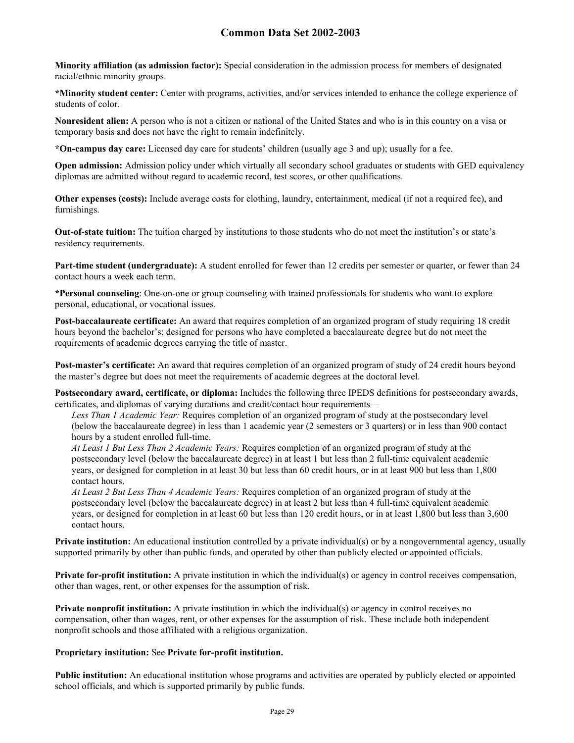**Minority affiliation (as admission factor):** Special consideration in the admission process for members of designated racial/ethnic minority groups.

**\*Minority student center:** Center with programs, activities, and/or services intended to enhance the college experience of students of color.

**Nonresident alien:** A person who is not a citizen or national of the United States and who is in this country on a visa or temporary basis and does not have the right to remain indefinitely.

**\*On-campus day care:** Licensed day care for students' children (usually age 3 and up); usually for a fee.

**Open admission:** Admission policy under which virtually all secondary school graduates or students with GED equivalency diplomas are admitted without regard to academic record, test scores, or other qualifications.

**Other expenses (costs):** Include average costs for clothing, laundry, entertainment, medical (if not a required fee), and furnishings.

**Out-of-state tuition:** The tuition charged by institutions to those students who do not meet the institution's or state's residency requirements.

**Part-time student (undergraduate):** A student enrolled for fewer than 12 credits per semester or quarter, or fewer than 24 contact hours a week each term.

**\*Personal counseling**: One-on-one or group counseling with trained professionals for students who want to explore personal, educational, or vocational issues.

**Post-baccalaureate certificate:** An award that requires completion of an organized program of study requiring 18 credit hours beyond the bachelor's; designed for persons who have completed a baccalaureate degree but do not meet the requirements of academic degrees carrying the title of master.

**Post-master's certificate:** An award that requires completion of an organized program of study of 24 credit hours beyond the master's degree but does not meet the requirements of academic degrees at the doctoral level.

**Postsecondary award, certificate, or diploma:** Includes the following three IPEDS definitions for postsecondary awards, certificates, and diplomas of varying durations and credit/contact hour requirements—

*Less Than 1 Academic Year:* Requires completion of an organized program of study at the postsecondary level (below the baccalaureate degree) in less than 1 academic year (2 semesters or 3 quarters) or in less than 900 contact hours by a student enrolled full-time.

*At Least 1 But Less Than 2 Academic Years:* Requires completion of an organized program of study at the postsecondary level (below the baccalaureate degree) in at least 1 but less than 2 full-time equivalent academic years, or designed for completion in at least 30 but less than 60 credit hours, or in at least 900 but less than 1,800 contact hours.

*At Least 2 But Less Than 4 Academic Years:* Requires completion of an organized program of study at the postsecondary level (below the baccalaureate degree) in at least 2 but less than 4 full-time equivalent academic years, or designed for completion in at least 60 but less than 120 credit hours, or in at least 1,800 but less than 3,600 contact hours.

**Private institution:** An educational institution controlled by a private individual(s) or by a nongovernmental agency, usually supported primarily by other than public funds, and operated by other than publicly elected or appointed officials.

**Private for-profit institution:** A private institution in which the individual(s) or agency in control receives compensation, other than wages, rent, or other expenses for the assumption of risk.

**Private nonprofit institution:** A private institution in which the individual(s) or agency in control receives no compensation, other than wages, rent, or other expenses for the assumption of risk. These include both independent nonprofit schools and those affiliated with a religious organization.

#### **Proprietary institution:** See **Private for-profit institution.**

**Public institution:** An educational institution whose programs and activities are operated by publicly elected or appointed school officials, and which is supported primarily by public funds.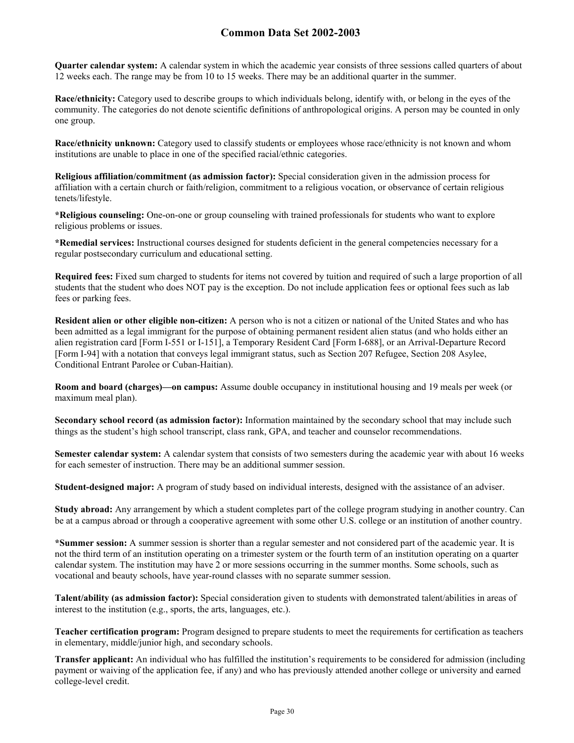**Quarter calendar system:** A calendar system in which the academic year consists of three sessions called quarters of about 12 weeks each. The range may be from 10 to 15 weeks. There may be an additional quarter in the summer.

**Race/ethnicity:** Category used to describe groups to which individuals belong, identify with, or belong in the eyes of the community. The categories do not denote scientific definitions of anthropological origins. A person may be counted in only one group.

**Race/ethnicity unknown:** Category used to classify students or employees whose race/ethnicity is not known and whom institutions are unable to place in one of the specified racial/ethnic categories.

**Religious affiliation/commitment (as admission factor):** Special consideration given in the admission process for affiliation with a certain church or faith/religion, commitment to a religious vocation, or observance of certain religious tenets/lifestyle.

**\*Religious counseling:** One-on-one or group counseling with trained professionals for students who want to explore religious problems or issues.

**\*Remedial services:** Instructional courses designed for students deficient in the general competencies necessary for a regular postsecondary curriculum and educational setting.

**Required fees:** Fixed sum charged to students for items not covered by tuition and required of such a large proportion of all students that the student who does NOT pay is the exception. Do not include application fees or optional fees such as lab fees or parking fees.

**Resident alien or other eligible non-citizen:** A person who is not a citizen or national of the United States and who has been admitted as a legal immigrant for the purpose of obtaining permanent resident alien status (and who holds either an alien registration card [Form I-551 or I-151], a Temporary Resident Card [Form I-688], or an Arrival-Departure Record [Form I-94] with a notation that conveys legal immigrant status, such as Section 207 Refugee, Section 208 Asylee, Conditional Entrant Parolee or Cuban-Haitian).

**Room and board (charges)—on campus:** Assume double occupancy in institutional housing and 19 meals per week (or maximum meal plan).

**Secondary school record (as admission factor):** Information maintained by the secondary school that may include such things as the student's high school transcript, class rank, GPA, and teacher and counselor recommendations.

**Semester calendar system:** A calendar system that consists of two semesters during the academic year with about 16 weeks for each semester of instruction. There may be an additional summer session.

**Student-designed major:** A program of study based on individual interests, designed with the assistance of an adviser.

**Study abroad:** Any arrangement by which a student completes part of the college program studying in another country. Can be at a campus abroad or through a cooperative agreement with some other U.S. college or an institution of another country.

**\*Summer session:** A summer session is shorter than a regular semester and not considered part of the academic year. It is not the third term of an institution operating on a trimester system or the fourth term of an institution operating on a quarter calendar system. The institution may have 2 or more sessions occurring in the summer months. Some schools, such as vocational and beauty schools, have year-round classes with no separate summer session.

**Talent/ability (as admission factor):** Special consideration given to students with demonstrated talent/abilities in areas of interest to the institution (e.g., sports, the arts, languages, etc.).

**Teacher certification program:** Program designed to prepare students to meet the requirements for certification as teachers in elementary, middle/junior high, and secondary schools.

**Transfer applicant:** An individual who has fulfilled the institution's requirements to be considered for admission (including payment or waiving of the application fee, if any) and who has previously attended another college or university and earned college-level credit.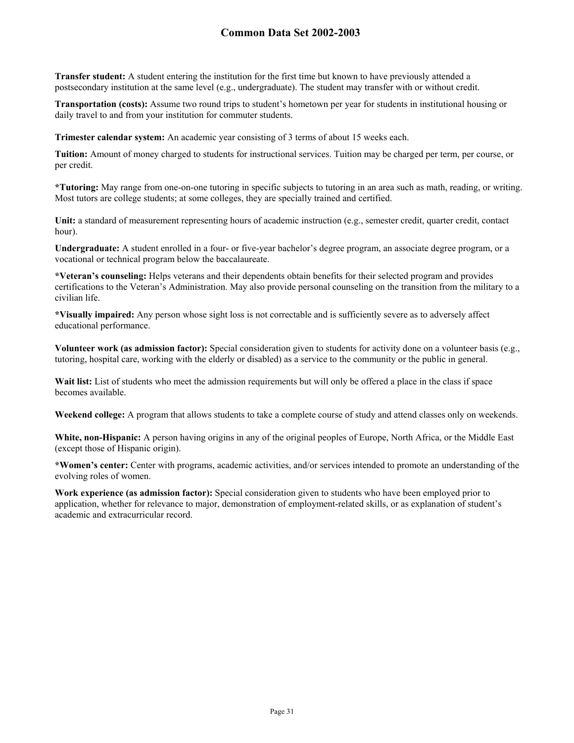**Transfer student:** A student entering the institution for the first time but known to have previously attended a postsecondary institution at the same level (e.g., undergraduate). The student may transfer with or without credit.

**Transportation (costs):** Assume two round trips to student's hometown per year for students in institutional housing or daily travel to and from your institution for commuter students.

**Trimester calendar system:** An academic year consisting of 3 terms of about 15 weeks each.

**Tuition:** Amount of money charged to students for instructional services. Tuition may be charged per term, per course, or per credit.

**\*Tutoring:** May range from one-on-one tutoring in specific subjects to tutoring in an area such as math, reading, or writing. Most tutors are college students; at some colleges, they are specially trained and certified.

Unit: a standard of measurement representing hours of academic instruction (e.g., semester credit, quarter credit, contact hour).

**Undergraduate:** A student enrolled in a four- or five-year bachelor's degree program, an associate degree program, or a vocational or technical program below the baccalaureate.

**\*Veteran's counseling:** Helps veterans and their dependents obtain benefits for their selected program and provides certifications to the Veteran's Administration. May also provide personal counseling on the transition from the military to a civilian life.

**\*Visually impaired:** Any person whose sight loss is not correctable and is sufficiently severe as to adversely affect educational performance.

**Volunteer work (as admission factor):** Special consideration given to students for activity done on a volunteer basis (e.g., tutoring, hospital care, working with the elderly or disabled) as a service to the community or the public in general.

Wait list: List of students who meet the admission requirements but will only be offered a place in the class if space becomes available.

**Weekend college:** A program that allows students to take a complete course of study and attend classes only on weekends.

**White, non-Hispanic:** A person having origins in any of the original peoples of Europe, North Africa, or the Middle East (except those of Hispanic origin).

**\*Women's center:** Center with programs, academic activities, and/or services intended to promote an understanding of the evolving roles of women.

**Work experience (as admission factor):** Special consideration given to students who have been employed prior to application, whether for relevance to major, demonstration of employment-related skills, or as explanation of student's academic and extracurricular record.